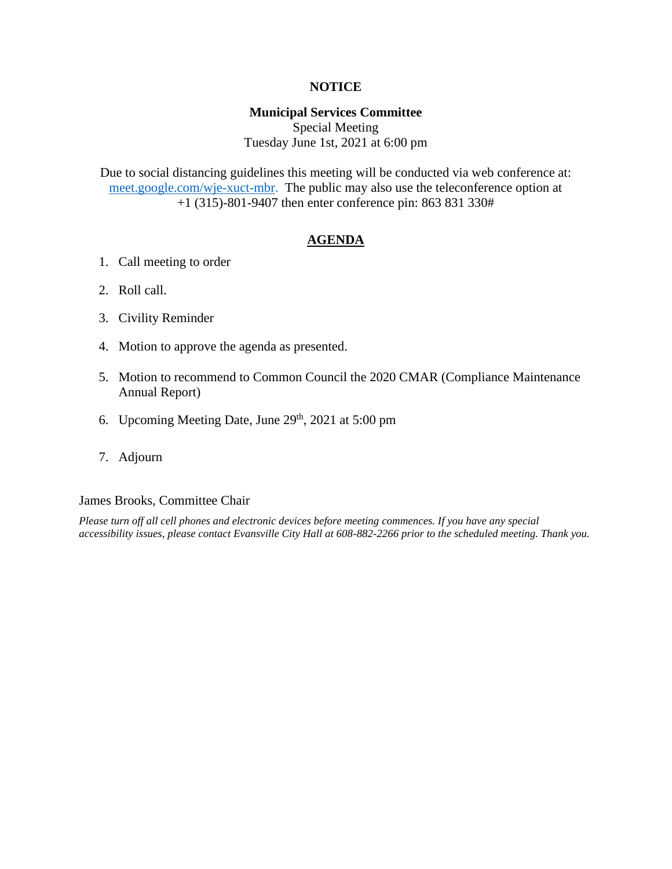#### **NOTICE**

#### **Municipal Services Committee**

Special Meeting Tuesday June 1st, 2021 at 6:00 pm

Due to social distancing guidelines this meeting will be conducted via web conference at: [meet.google.com/wje-xuct-mbr.](file:///G:/My%20Drive/Meetings/MSC/2021/05-21/meet.google.com/wje-xuct-mbr) The public may also use the teleconference option at +1 (315)-801-9407 then enter conference pin: 863 831 330#

#### **AGENDA**

- 1. Call meeting to order
- 2. Roll call.
- 3. Civility Reminder
- 4. Motion to approve the agenda as presented.
- 5. Motion to recommend to Common Council the 2020 CMAR (Compliance Maintenance Annual Report)
- 6. Upcoming Meeting Date, June  $29<sup>th</sup>$ ,  $2021$  at  $5:00$  pm
- 7. Adjourn

#### James Brooks, Committee Chair

*Please turn off all cell phones and electronic devices before meeting commences. If you have any special accessibility issues, please contact Evansville City Hall at 608-882-2266 prior to the scheduled meeting. Thank you.*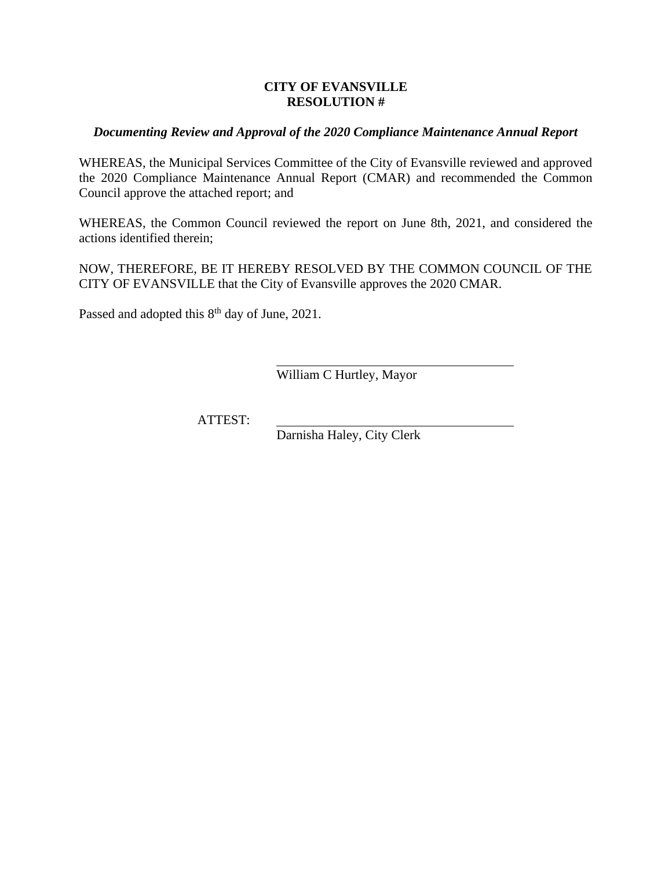#### **CITY OF EVANSVILLE RESOLUTION #**

#### *Documenting Review and Approval of the 2020 Compliance Maintenance Annual Report*

WHEREAS, the Municipal Services Committee of the City of Evansville reviewed and approved the 2020 Compliance Maintenance Annual Report (CMAR) and recommended the Common Council approve the attached report; and

WHEREAS, the Common Council reviewed the report on June 8th, 2021, and considered the actions identified therein;

NOW, THEREFORE, BE IT HEREBY RESOLVED BY THE COMMON COUNCIL OF THE CITY OF EVANSVILLE that the City of Evansville approves the 2020 CMAR.

Passed and adopted this 8<sup>th</sup> day of June, 2021.

William C Hurtley, Mayor

ATTEST:

Darnisha Haley, City Clerk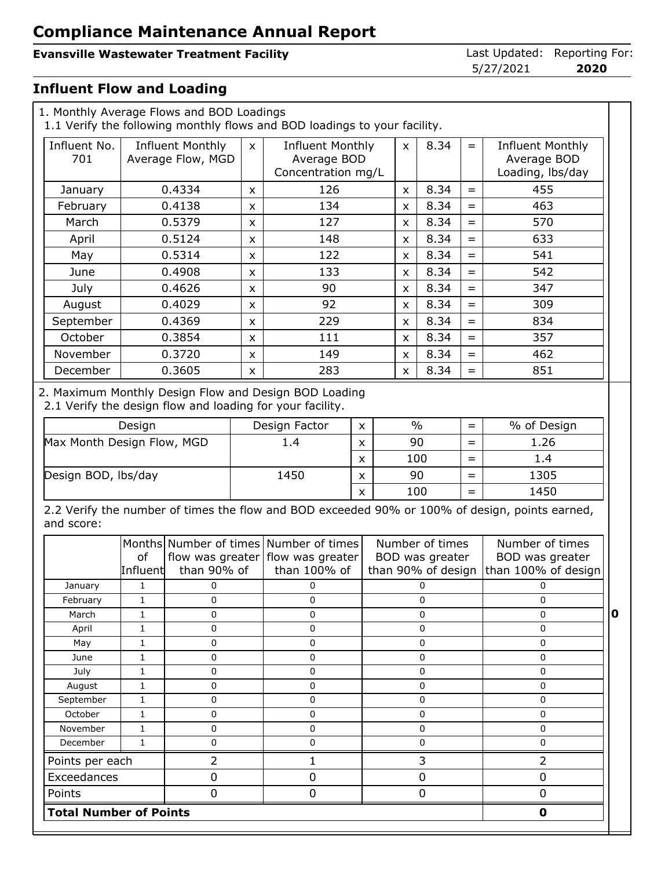#### **Evansville Wastewater Treatment Facility Last Updated: Reporting For:**

5/27/2021 **2020**

#### **Influent Flow and Loading**

| 1. Monthly Average Flows and BOD Loadings |                     |                                              |                                                                              | 1.1 Verify the following monthly flows and BOD loadings to your facility.                   |                   |             |                |                                                          |                |                                                                                                |
|-------------------------------------------|---------------------|----------------------------------------------|------------------------------------------------------------------------------|---------------------------------------------------------------------------------------------|-------------------|-------------|----------------|----------------------------------------------------------|----------------|------------------------------------------------------------------------------------------------|
| Influent No.<br>701                       |                     | <b>Influent Monthly</b><br>Average Flow, MGD | <b>Influent Monthly</b><br>$\mathsf{X}$<br>Average BOD<br>Concentration mg/L |                                                                                             |                   |             | $\pmb{\times}$ | 8.34                                                     | $=$            | <b>Influent Monthly</b><br>Average BOD<br>Loading, lbs/day                                     |
| January                                   |                     | 0.4334                                       | X                                                                            | 126                                                                                         |                   | x           | 8.34           | $=$                                                      | 455            |                                                                                                |
| February                                  |                     | 0.4138                                       | $\mathsf{x}$                                                                 | 134                                                                                         |                   |             | X              | 8.34                                                     | $=$            | 463                                                                                            |
| March                                     |                     | 0.5379                                       | X                                                                            | 127                                                                                         |                   |             | X              | 8.34                                                     | $=$            | 570                                                                                            |
| April                                     |                     | 0.5124                                       | $\mathsf{x}$                                                                 | 148                                                                                         |                   |             | X              | 8.34                                                     | $=$            | 633                                                                                            |
| May                                       |                     | 0.5314                                       | X                                                                            | 122                                                                                         |                   |             | X              | 8.34                                                     | $=$            | 541                                                                                            |
| June                                      |                     | 0.4908                                       | X                                                                            | 133                                                                                         |                   |             | X              | 8.34                                                     | $=$            | 542                                                                                            |
| July                                      |                     | 0.4626                                       | X                                                                            | 90                                                                                          |                   |             | X              | 8.34                                                     | $=$            | 347                                                                                            |
| August                                    |                     | 0.4029                                       | X                                                                            | 92                                                                                          |                   |             | X              | 8.34                                                     | $=$            | 309                                                                                            |
| September                                 |                     | 0.4369                                       | X                                                                            | 229                                                                                         |                   |             | X              | 8.34                                                     | $=$            | 834                                                                                            |
| October                                   |                     | 0.3854                                       | $\mathsf{x}$                                                                 | 111                                                                                         |                   |             | X              | 8.34                                                     | $=$            | 357                                                                                            |
| November                                  |                     | 0.3720                                       | X                                                                            | 149                                                                                         |                   |             | x              | 8.34                                                     | $=$            | 462                                                                                            |
| December                                  |                     | 0.3605                                       | $\mathsf{x}$                                                                 | 283                                                                                         |                   |             | X              | 8.34                                                     | $=$            | 851                                                                                            |
|                                           | Design              |                                              |                                                                              | 2.1 Verify the design flow and loading for your facility.<br>Design Factor                  | X                 |             | $\frac{0}{0}$  |                                                          | $=$            | % of Design                                                                                    |
| Max Month Design Flow, MGD                |                     |                                              | 1.4                                                                          |                                                                                             |                   |             | 90<br>$=$      |                                                          | 1.26           |                                                                                                |
|                                           |                     |                                              |                                                                              |                                                                                             |                   |             | 100<br>$=$     |                                                          |                | 1.4                                                                                            |
|                                           | Design BOD, lbs/day |                                              |                                                                              | 1450                                                                                        | X                 |             | 90             |                                                          | $=$            | 1305                                                                                           |
|                                           |                     |                                              |                                                                              |                                                                                             | X<br>$\mathsf{x}$ |             | 100<br>$=$     |                                                          |                | 1450                                                                                           |
| and score:                                |                     |                                              |                                                                              |                                                                                             |                   |             |                |                                                          |                | 2.2 Verify the number of times the flow and BOD exceeded 90% or 100% of design, points earned, |
|                                           | of<br>Influent      | than 90% of                                  |                                                                              | Months Number of times Number of times<br>flow was greater flow was greater<br>than 100% of |                   |             |                | Number of times<br>BOD was greater<br>than 90% of design |                | Number of times<br>BOD was greater<br>than 100% of design                                      |
| January                                   | 1                   | 0                                            |                                                                              | 0                                                                                           |                   | 0           |                |                                                          | 0              |                                                                                                |
| February                                  | 1                   | 0                                            |                                                                              | 0                                                                                           |                   | 0           |                |                                                          | 0              |                                                                                                |
| March                                     | $\mathbf{1}$        | 0                                            |                                                                              | 0                                                                                           |                   | $\mathbf 0$ |                |                                                          | $\mathbf 0$    |                                                                                                |
| April                                     | $\mathbf{1}$        | 0                                            |                                                                              | 0                                                                                           |                   |             | $\mathbf 0$    |                                                          |                | $\mathbf 0$                                                                                    |
| May                                       | $\mathbf{1}$        | 0                                            |                                                                              | 0                                                                                           |                   |             |                | $\pmb{0}$                                                |                | $\pmb{0}$<br>$\pmb{0}$                                                                         |
| June<br>July                              | 1<br>1              | 0<br>0                                       |                                                                              | 0<br>0                                                                                      |                   |             |                | 0<br>0                                                   |                | 0                                                                                              |
| August                                    | $\mathbf{1}$        | 0                                            |                                                                              | $\mathbf 0$                                                                                 |                   |             | $\mathbf 0$    |                                                          |                | $\mathbf 0$                                                                                    |
| September                                 | $\mathbf{1}$        | 0                                            |                                                                              | 0                                                                                           |                   | $\mathbf 0$ |                |                                                          | $\mathbf 0$    |                                                                                                |
| October                                   | $\mathbf{1}$        | 0                                            |                                                                              | 0                                                                                           |                   |             |                | $\mathbf 0$                                              |                | $\mathbf 0$                                                                                    |
| November                                  | $\mathbf{1}$        | $\mathsf{O}\xspace$                          |                                                                              | 0                                                                                           |                   |             |                | $\mathbf 0$                                              |                | $\pmb{0}$                                                                                      |
| December                                  | $\mathbf{1}$        | $\pmb{0}$                                    |                                                                              | 0                                                                                           |                   |             |                | $\mathbf 0$                                              |                | 0                                                                                              |
| Points per each                           |                     | $\overline{2}$                               |                                                                              | $\mathbf{1}$                                                                                |                   | 3           |                |                                                          | $\overline{2}$ |                                                                                                |
| Exceedances                               |                     | $\pmb{0}$                                    |                                                                              | 0                                                                                           |                   |             |                | $\mathbf 0$                                              |                | $\pmb{0}$                                                                                      |
| Points                                    |                     |                                              |                                                                              | $\mathbf 0$                                                                                 |                   | $\mathbf 0$ |                |                                                          | 0              |                                                                                                |

 **Total Number of Points 0**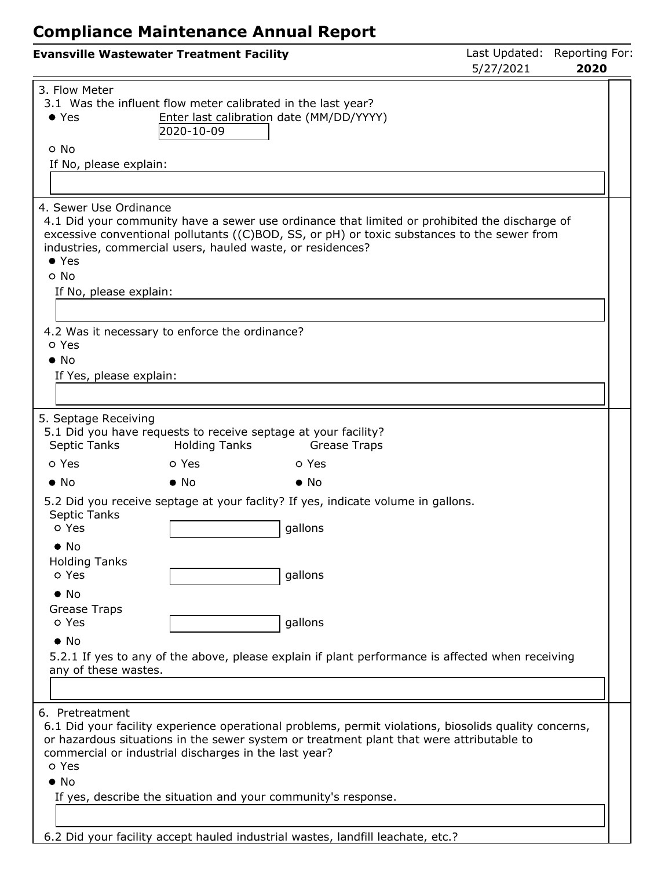| <b>Evansville Wastewater Treatment Facility</b>                                                                                         |                                                        |                                                                                                                                                                                                   | Last Updated: Reporting For:<br>5/27/2021 | 2020 |  |
|-----------------------------------------------------------------------------------------------------------------------------------------|--------------------------------------------------------|---------------------------------------------------------------------------------------------------------------------------------------------------------------------------------------------------|-------------------------------------------|------|--|
| 3. Flow Meter<br>3.1 Was the influent flow meter calibrated in the last year?<br>$\bullet$ Yes<br>o No<br>If No, please explain:        | Enter last calibration date (MM/DD/YYYY)<br>2020-10-09 |                                                                                                                                                                                                   |                                           |      |  |
| 4. Sewer Use Ordinance<br>industries, commercial users, hauled waste, or residences?<br>$\bullet$ Yes<br>o No<br>If No, please explain: |                                                        | 4.1 Did your community have a sewer use ordinance that limited or prohibited the discharge of<br>excessive conventional pollutants ((C)BOD, SS, or pH) or toxic substances to the sewer from      |                                           |      |  |
| 4.2 Was it necessary to enforce the ordinance?<br>o Yes<br>$\bullet$ No<br>If Yes, please explain:                                      |                                                        |                                                                                                                                                                                                   |                                           |      |  |
| 5. Septage Receiving<br>5.1 Did you have requests to receive septage at your facility?<br>Septic Tanks                                  | <b>Holding Tanks</b>                                   | <b>Grease Traps</b>                                                                                                                                                                               |                                           |      |  |
| o Yes                                                                                                                                   | o Yes                                                  | o Yes                                                                                                                                                                                             |                                           |      |  |
| $\bullet$ No                                                                                                                            | $\bullet$ No                                           | $\bullet$ No                                                                                                                                                                                      |                                           |      |  |
| Septic Tanks<br>o Yes<br>$\bullet$ No                                                                                                   |                                                        | 5.2 Did you receive septage at your faclity? If yes, indicate volume in gallons.<br>gallons                                                                                                       |                                           |      |  |
| <b>Holding Tanks</b><br>o Yes<br>$\bullet$ No                                                                                           |                                                        | gallons                                                                                                                                                                                           |                                           |      |  |
| Grease Traps<br>o Yes<br>$\bullet$ No<br>any of these wastes.                                                                           |                                                        | gallons<br>5.2.1 If yes to any of the above, please explain if plant performance is affected when receiving                                                                                       |                                           |      |  |
|                                                                                                                                         |                                                        |                                                                                                                                                                                                   |                                           |      |  |
| 6. Pretreatment<br>commercial or industrial discharges in the last year?<br>o Yes<br>$\bullet$ No                                       |                                                        | 6.1 Did your facility experience operational problems, permit violations, biosolids quality concerns,<br>or hazardous situations in the sewer system or treatment plant that were attributable to |                                           |      |  |
|                                                                                                                                         |                                                        | If yes, describe the situation and your community's response.                                                                                                                                     |                                           |      |  |
|                                                                                                                                         |                                                        |                                                                                                                                                                                                   |                                           |      |  |

6.2 Did your facility accept hauled industrial wastes, landfill leachate, etc.?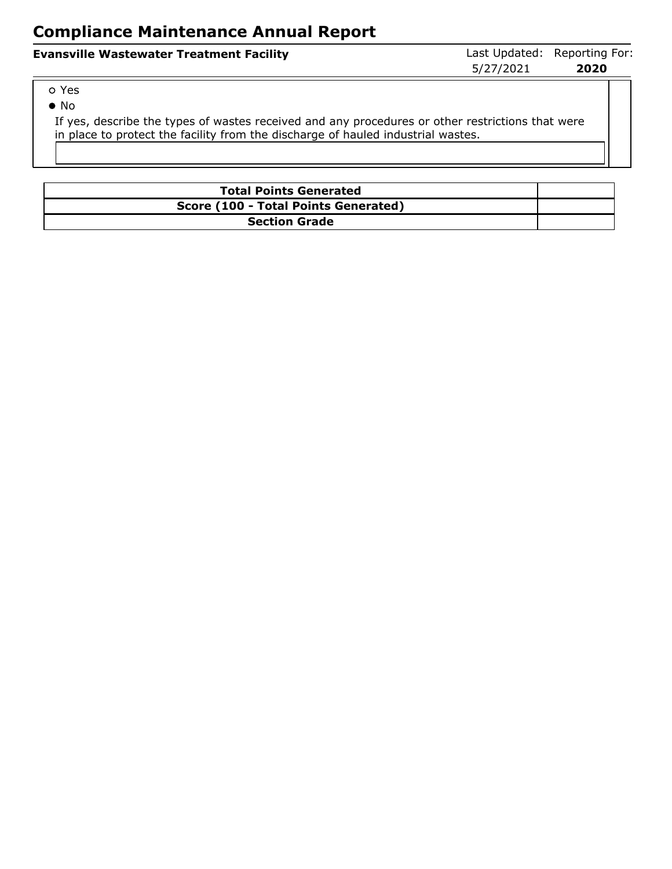| <b>Evansville Wastewater Treatment Facility</b> | Last Updated: Reporting For: |      |
|-------------------------------------------------|------------------------------|------|
|                                                 | 5/27/2021                    | 2020 |

| .,<br>۰. |
|----------|
|          |

No

If yes, describe the types of wastes received and any procedures or other restrictions that were in place to protect the facility from the discharge of hauled industrial wastes.

| <b>Total Points Generated</b>        |  |
|--------------------------------------|--|
| Score (100 - Total Points Generated) |  |
| <b>Section Grade</b>                 |  |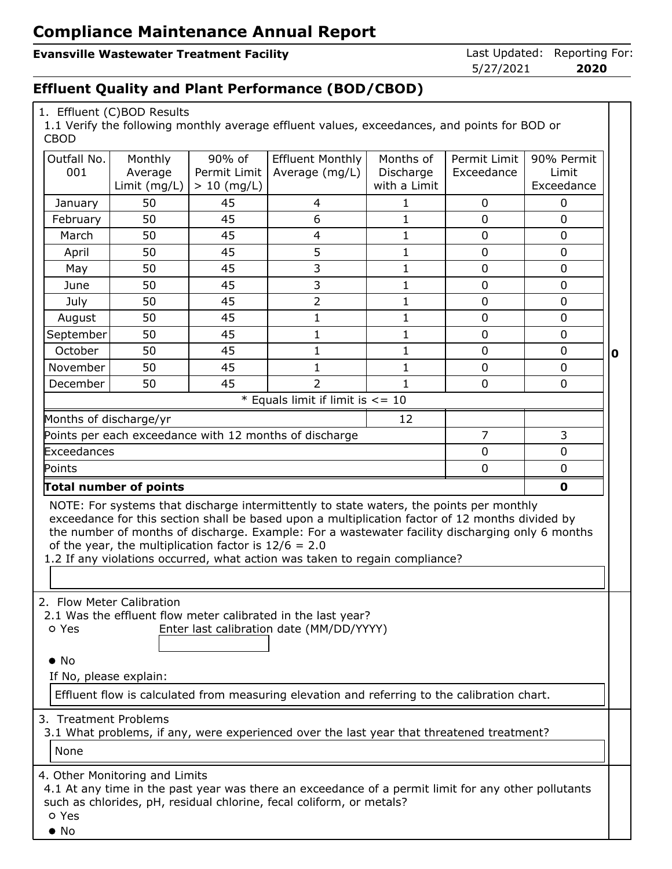#### **Evansville Wastewater Treatment Facility Last Updated: Reporting For: Evansville Wastewater Treatment Facility**

5/27/2021 **2020**

#### **Effluent Quality and Plant Performance (BOD/CBOD)**

| 1. Effluent (C)BOD Results |  |
|----------------------------|--|
|----------------------------|--|

1.1 Verify the following monthly average effluent values, exceedances, and points for BOD or CBOD

| Outfall No.                                                                                                                                                                                                                                                                                                                                                                                                                            | Monthly      | 90% of        | Effluent Monthly                                       | Months of    | Permit Limit   | 90% Permit     |   |  |
|----------------------------------------------------------------------------------------------------------------------------------------------------------------------------------------------------------------------------------------------------------------------------------------------------------------------------------------------------------------------------------------------------------------------------------------|--------------|---------------|--------------------------------------------------------|--------------|----------------|----------------|---|--|
| 001                                                                                                                                                                                                                                                                                                                                                                                                                                    | Average      | Permit Limit  | Average (mg/L)                                         | Discharge    | Exceedance     | Limit          |   |  |
|                                                                                                                                                                                                                                                                                                                                                                                                                                        | Limit (mg/L) | $> 10$ (mg/L) |                                                        | with a Limit |                | Exceedance     |   |  |
| January                                                                                                                                                                                                                                                                                                                                                                                                                                | 50           | 45            | 4                                                      | $\mathbf{1}$ | $\mathbf 0$    | $\mathbf 0$    |   |  |
| February                                                                                                                                                                                                                                                                                                                                                                                                                               | 50           | 45            | 6                                                      | $\mathbf{1}$ | $\overline{0}$ | 0              |   |  |
| March                                                                                                                                                                                                                                                                                                                                                                                                                                  | 50           | 45            | $\overline{4}$                                         | $\mathbf{1}$ | 0              | $\mathbf 0$    |   |  |
| April                                                                                                                                                                                                                                                                                                                                                                                                                                  | 50           | 45            | 5                                                      | $\mathbf{1}$ | $\overline{0}$ | $\overline{0}$ |   |  |
| May                                                                                                                                                                                                                                                                                                                                                                                                                                    | 50           | 45            | 3                                                      | $\mathbf{1}$ | $\mathbf 0$    | $\mathbf 0$    |   |  |
| June                                                                                                                                                                                                                                                                                                                                                                                                                                   | 50           | 45            | 3                                                      | $\mathbf{1}$ | $\overline{0}$ | 0              |   |  |
| July                                                                                                                                                                                                                                                                                                                                                                                                                                   | 50           | 45            | $\overline{2}$                                         | $\mathbf{1}$ | $\mathbf 0$    | $\mathbf 0$    |   |  |
| August                                                                                                                                                                                                                                                                                                                                                                                                                                 | 50           | 45            | $\mathbf{1}$                                           | $\mathbf{1}$ | $\overline{0}$ | $\overline{0}$ |   |  |
| September                                                                                                                                                                                                                                                                                                                                                                                                                              | 50           | 45            | $\mathbf{1}$                                           | $\mathbf{1}$ | 0              | $\mathbf 0$    |   |  |
| October                                                                                                                                                                                                                                                                                                                                                                                                                                | 50           | 45            | $\mathbf{1}$                                           | $\mathbf{1}$ | $\overline{0}$ | 0              | 0 |  |
| November                                                                                                                                                                                                                                                                                                                                                                                                                               | 50           | 45            | 1                                                      | $\mathbf{1}$ | $\mathbf 0$    | $\mathbf 0$    |   |  |
| December                                                                                                                                                                                                                                                                                                                                                                                                                               | 50           | 45            | $\overline{2}$                                         | $\mathbf{1}$ | 0              | $\mathbf 0$    |   |  |
|                                                                                                                                                                                                                                                                                                                                                                                                                                        |              |               | * Equals limit if limit is $\leq$ = 10                 |              |                |                |   |  |
| Months of discharge/yr                                                                                                                                                                                                                                                                                                                                                                                                                 |              |               |                                                        | 12           |                |                |   |  |
|                                                                                                                                                                                                                                                                                                                                                                                                                                        |              |               | Points per each exceedance with 12 months of discharge |              | $\overline{7}$ | 3              |   |  |
| Exceedances                                                                                                                                                                                                                                                                                                                                                                                                                            |              |               |                                                        |              | $\overline{0}$ | 0              |   |  |
| $\overline{0}$<br>0<br>Points                                                                                                                                                                                                                                                                                                                                                                                                          |              |               |                                                        |              |                |                |   |  |
| Total number of points<br>$\mathbf 0$                                                                                                                                                                                                                                                                                                                                                                                                  |              |               |                                                        |              |                |                |   |  |
| NOTE: For systems that discharge intermittently to state waters, the points per monthly<br>exceedance for this section shall be based upon a multiplication factor of 12 months divided by<br>the number of months of discharge. Example: For a wastewater facility discharging only 6 months<br>of the year, the multiplication factor is $12/6 = 2.0$<br>1.2 If any violations occurred, what action was taken to regain compliance? |              |               |                                                        |              |                |                |   |  |
| 2. Flow Meter Calibration<br>2.1 Was the effluent flow meter calibrated in the last year?<br>Enter last calibration date (MM/DD/YYYY)<br>o Yes<br>$\bullet$ No<br>If No, please explain:<br>Effluent flow is calculated from measuring elevation and referring to the calibration chart.                                                                                                                                               |              |               |                                                        |              |                |                |   |  |
| 3. Treatment Problems<br>3.1 What problems, if any, were experienced over the last year that threatened treatment?<br>None                                                                                                                                                                                                                                                                                                             |              |               |                                                        |              |                |                |   |  |
| 4. Other Monitoring and Limits<br>4.1 At any time in the past year was there an exceedance of a permit limit for any other pollutants<br>such as chlorides, pH, residual chlorine, fecal coliform, or metals?<br>o Yes<br>$\bullet$ No                                                                                                                                                                                                 |              |               |                                                        |              |                |                |   |  |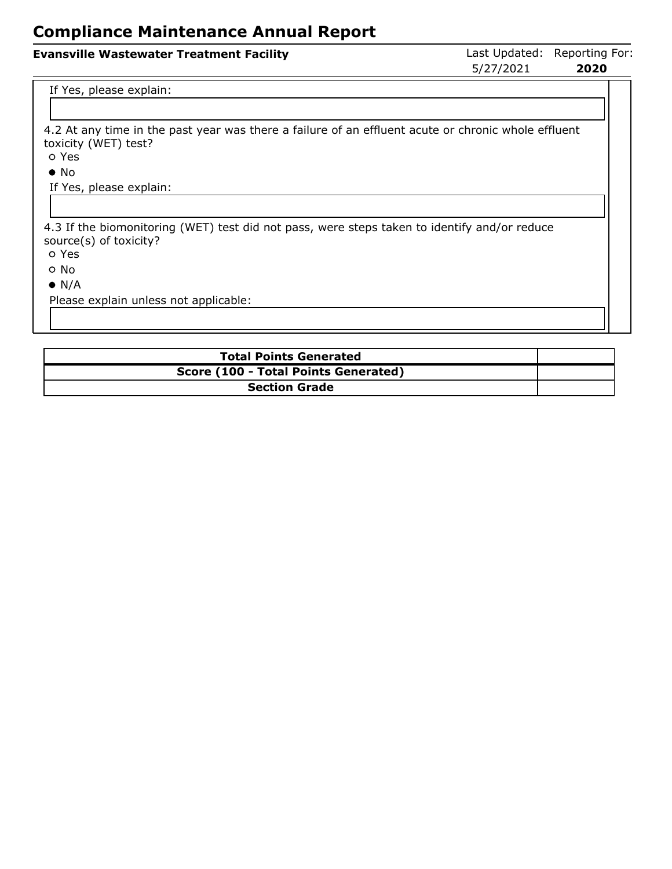#### **Evansville Wastewater Treatment Facility Last Updated: Reporting For: Evansville Wastewater Treatment Facility** 5/27/2021 **2020**

#### If Yes, please explain:

4.2 At any time in the past year was there a failure of an effluent acute or chronic whole effluent toxicity (WET) test?

Yes

• No

If Yes, please explain:

4.3 If the biomonitoring (WET) test did not pass, were steps taken to identify and/or reduce source(s) of toxicity?

Yes

No

 $\bullet$  N/A

Please explain unless not applicable:

| <b>Total Points Generated</b>        |  |
|--------------------------------------|--|
| Score (100 - Total Points Generated) |  |
| <b>Section Grade</b>                 |  |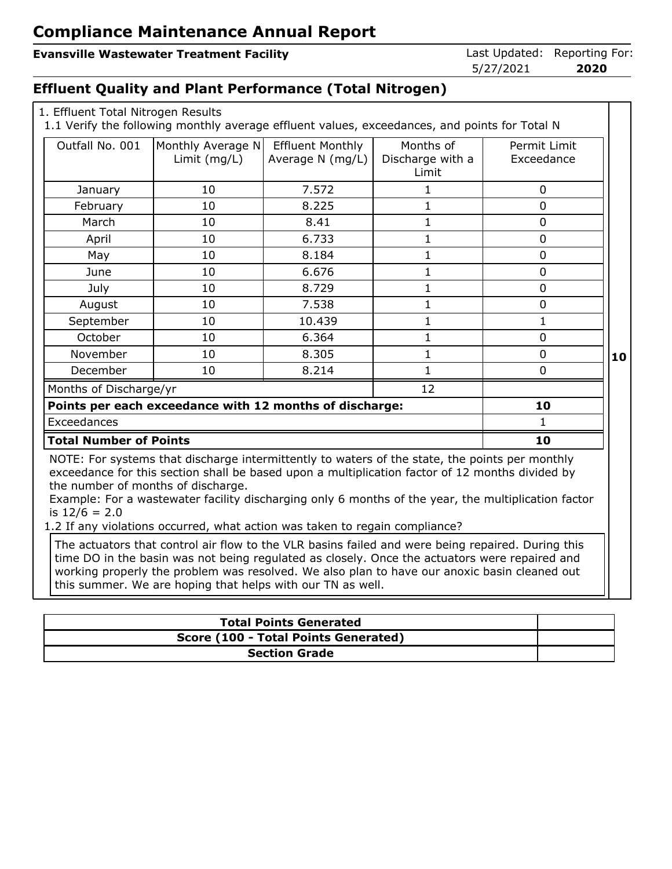#### **Evansville Wastewater Treatment Facility Last Updated: Reporting For: Evansville Wastewater Treatment Facility**

5/27/2021 **2020**

#### **Effluent Quality and Plant Performance (Total Nitrogen)**

|  | 1. Effluent Total Nitrogen Results |  |
|--|------------------------------------|--|
|  |                                    |  |

1.1 Verify the following monthly average effluent values, exceedances, and points for Total N

| Outfall No. 001                                       | Monthly Average N<br>Limit (mg/L) | <b>Effluent Monthly</b><br>Average N (mg/L)             | Months of<br>Discharge with a<br>Limit                                                                                                                                                                                                                                                                                                                                                  | Permit Limit<br>Exceedance |
|-------------------------------------------------------|-----------------------------------|---------------------------------------------------------|-----------------------------------------------------------------------------------------------------------------------------------------------------------------------------------------------------------------------------------------------------------------------------------------------------------------------------------------------------------------------------------------|----------------------------|
| January                                               | 10                                | 7.572                                                   | 1                                                                                                                                                                                                                                                                                                                                                                                       | 0                          |
| February                                              | 10                                | 8.225                                                   | $\mathbf{1}$                                                                                                                                                                                                                                                                                                                                                                            | 0                          |
| March                                                 | 10                                | 8.41                                                    | $\mathbf{1}$                                                                                                                                                                                                                                                                                                                                                                            | $\mathbf 0$                |
| April                                                 | 10                                | 6.733                                                   | 1                                                                                                                                                                                                                                                                                                                                                                                       | $\mathbf 0$                |
| May                                                   | 10                                | 8.184                                                   | $\mathbf 1$                                                                                                                                                                                                                                                                                                                                                                             | 0                          |
| June                                                  | 10                                | 6.676                                                   | $\mathbf{1}$                                                                                                                                                                                                                                                                                                                                                                            | $\mathbf 0$                |
| July                                                  | 10                                | 8.729                                                   | 1                                                                                                                                                                                                                                                                                                                                                                                       | 0                          |
| August                                                | 10                                | 7.538                                                   | $\mathbf{1}$                                                                                                                                                                                                                                                                                                                                                                            | 0                          |
| September                                             | 10                                | 10.439                                                  | $\mathbf{1}$                                                                                                                                                                                                                                                                                                                                                                            | $\mathbf{1}$               |
| October                                               | 10                                | 6.364                                                   | 1                                                                                                                                                                                                                                                                                                                                                                                       | 0                          |
| November                                              | 10                                | 8.305                                                   | 1                                                                                                                                                                                                                                                                                                                                                                                       | 0                          |
| December                                              | 10                                | 8.214                                                   | $\mathbf{1}$                                                                                                                                                                                                                                                                                                                                                                            | 0                          |
| Months of Discharge/yr                                |                                   |                                                         | 12                                                                                                                                                                                                                                                                                                                                                                                      |                            |
|                                                       |                                   | Points per each exceedance with 12 months of discharge: |                                                                                                                                                                                                                                                                                                                                                                                         | 10                         |
| Exceedances                                           |                                   |                                                         |                                                                                                                                                                                                                                                                                                                                                                                         | 1                          |
| <b>Total Number of Points</b>                         |                                   |                                                         |                                                                                                                                                                                                                                                                                                                                                                                         | 10                         |
| the number of months of discharge.<br>is $12/6 = 2.0$ |                                   |                                                         | NOTE: For systems that discharge intermittently to waters of the state, the points per monthly<br>exceedance for this section shall be based upon a multiplication factor of 12 months divided by<br>Example: For a wastewater facility discharging only 6 months of the year, the multiplication factor<br>1.2 If any violations occurred, what action was taken to regain compliance? |                            |

working properly the problem was resolved. We also plan to have our anoxic basin cleaned out this summer. We are hoping that helps with our TN as well.

| <b>Total Points Generated</b>        |  |
|--------------------------------------|--|
| Score (100 - Total Points Generated) |  |
| <b>Section Grade</b>                 |  |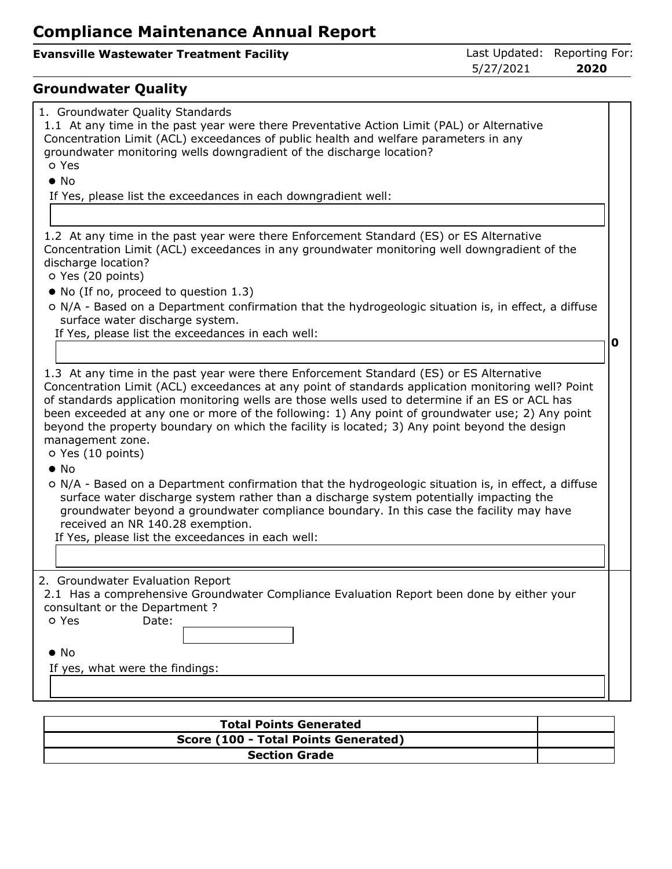### **Evansville Wastewater Treatment Facility Last Updated: Reporting For:**

5/27/2021 **2020**

## **Groundwater Quality**

| 1. Groundwater Quality Standards<br>1.1 At any time in the past year were there Preventative Action Limit (PAL) or Alternative<br>Concentration Limit (ACL) exceedances of public health and welfare parameters in any<br>groundwater monitoring wells downgradient of the discharge location?<br>o Yes                                                                                                                                             |   |
|-----------------------------------------------------------------------------------------------------------------------------------------------------------------------------------------------------------------------------------------------------------------------------------------------------------------------------------------------------------------------------------------------------------------------------------------------------|---|
| $\bullet$ No                                                                                                                                                                                                                                                                                                                                                                                                                                        |   |
| If Yes, please list the exceedances in each downgradient well:                                                                                                                                                                                                                                                                                                                                                                                      |   |
|                                                                                                                                                                                                                                                                                                                                                                                                                                                     |   |
|                                                                                                                                                                                                                                                                                                                                                                                                                                                     |   |
| 1.2 At any time in the past year were there Enforcement Standard (ES) or ES Alternative<br>Concentration Limit (ACL) exceedances in any groundwater monitoring well downgradient of the<br>discharge location?<br>o Yes (20 points)                                                                                                                                                                                                                 |   |
| • No (If no, proceed to question 1.3)                                                                                                                                                                                                                                                                                                                                                                                                               |   |
| o N/A - Based on a Department confirmation that the hydrogeologic situation is, in effect, a diffuse<br>surface water discharge system.                                                                                                                                                                                                                                                                                                             |   |
| If Yes, please list the exceedances in each well:                                                                                                                                                                                                                                                                                                                                                                                                   | O |
|                                                                                                                                                                                                                                                                                                                                                                                                                                                     |   |
| 1.3 At any time in the past year were there Enforcement Standard (ES) or ES Alternative                                                                                                                                                                                                                                                                                                                                                             |   |
| Concentration Limit (ACL) exceedances at any point of standards application monitoring well? Point<br>of standards application monitoring wells are those wells used to determine if an ES or ACL has<br>been exceeded at any one or more of the following: 1) Any point of groundwater use; 2) Any point<br>beyond the property boundary on which the facility is located; 3) Any point beyond the design<br>management zone.<br>O Yes (10 points) |   |
| $\bullet$ No                                                                                                                                                                                                                                                                                                                                                                                                                                        |   |
| o N/A - Based on a Department confirmation that the hydrogeologic situation is, in effect, a diffuse<br>surface water discharge system rather than a discharge system potentially impacting the<br>groundwater beyond a groundwater compliance boundary. In this case the facility may have<br>received an NR 140.28 exemption.<br>If Yes, please list the exceedances in each well:                                                                |   |
|                                                                                                                                                                                                                                                                                                                                                                                                                                                     |   |
|                                                                                                                                                                                                                                                                                                                                                                                                                                                     |   |
| 2. Groundwater Evaluation Report<br>2.1 Has a comprehensive Groundwater Compliance Evaluation Report been done by either your<br>consultant or the Department?                                                                                                                                                                                                                                                                                      |   |
| o Yes<br>Date:                                                                                                                                                                                                                                                                                                                                                                                                                                      |   |
|                                                                                                                                                                                                                                                                                                                                                                                                                                                     |   |
| $\bullet$ No                                                                                                                                                                                                                                                                                                                                                                                                                                        |   |
| If yes, what were the findings:                                                                                                                                                                                                                                                                                                                                                                                                                     |   |
|                                                                                                                                                                                                                                                                                                                                                                                                                                                     |   |
|                                                                                                                                                                                                                                                                                                                                                                                                                                                     |   |

| <b>Total Points Generated</b>        |  |
|--------------------------------------|--|
| Score (100 - Total Points Generated) |  |
| <b>Section Grade</b>                 |  |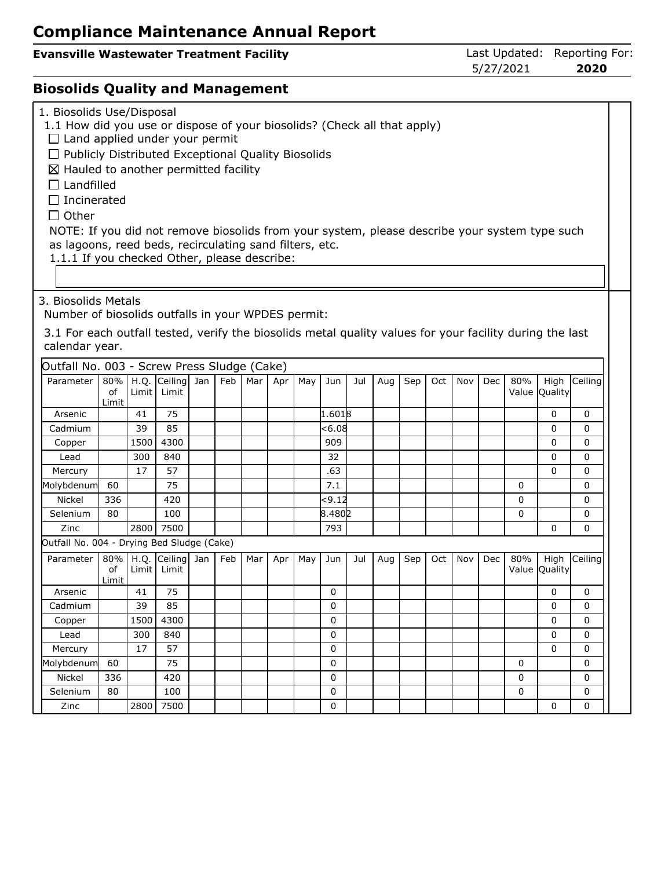**Evansville Wastewater Treatment Facility Last Updated: Reporting For:**<br>Examsville Wastewater Treatment Facility<br>5/27/2021 **2020** 5/27/2021 **2020**

## **Biosolids Quality and Management**

| 1. Biosolids Use/Disposal<br>1.1 How did you use or dispose of your biosolids? (Check all that apply)<br>$\Box$ Land applied under your permit<br>$\Box$ Publicly Distributed Exceptional Quality Biosolids<br>$\boxtimes$ Hauled to another permitted facility<br>$\Box$ Landfilled<br>$\Box$ Incinerated<br>$\Box$ Other<br>NOTE: If you did not remove biosolids from your system, please describe your system type such<br>as lagoons, reed beds, recirculating sand filters, etc.<br>1.1.1 If you checked Other, please describe: |       |          |                        |     |     |     |     |                     |     |     |     |     |     |            |     |               |             |
|----------------------------------------------------------------------------------------------------------------------------------------------------------------------------------------------------------------------------------------------------------------------------------------------------------------------------------------------------------------------------------------------------------------------------------------------------------------------------------------------------------------------------------------|-------|----------|------------------------|-----|-----|-----|-----|---------------------|-----|-----|-----|-----|-----|------------|-----|---------------|-------------|
| 3. Biosolids Metals                                                                                                                                                                                                                                                                                                                                                                                                                                                                                                                    |       |          |                        |     |     |     |     |                     |     |     |     |     |     |            |     |               |             |
|                                                                                                                                                                                                                                                                                                                                                                                                                                                                                                                                        |       |          |                        |     |     |     |     |                     |     |     |     |     |     |            |     |               |             |
| Number of biosolids outfalls in your WPDES permit:                                                                                                                                                                                                                                                                                                                                                                                                                                                                                     |       |          |                        |     |     |     |     |                     |     |     |     |     |     |            |     |               |             |
| 3.1 For each outfall tested, verify the biosolids metal quality values for your facility during the last                                                                                                                                                                                                                                                                                                                                                                                                                               |       |          |                        |     |     |     |     |                     |     |     |     |     |     |            |     |               |             |
| calendar year.                                                                                                                                                                                                                                                                                                                                                                                                                                                                                                                         |       |          |                        |     |     |     |     |                     |     |     |     |     |     |            |     |               |             |
|                                                                                                                                                                                                                                                                                                                                                                                                                                                                                                                                        |       |          |                        |     |     |     |     |                     |     |     |     |     |     |            |     |               |             |
| Outfall No. 003 - Screw Press Sludge (Cake)                                                                                                                                                                                                                                                                                                                                                                                                                                                                                            |       |          |                        |     |     |     |     |                     |     |     |     |     |     |            |     |               |             |
| Parameter                                                                                                                                                                                                                                                                                                                                                                                                                                                                                                                              |       |          | 80%   H.Q. Ceiling Jan | Feb | Mar | Apr | May | Jun                 | Jul | Aug | Sep | Oct | Nov | <b>Dec</b> | 80% | High          | Ceiling     |
|                                                                                                                                                                                                                                                                                                                                                                                                                                                                                                                                        | οf    | Limit    | Limit                  |     |     |     |     |                     |     |     |     |     |     |            |     | Value Quality |             |
| Arsenic                                                                                                                                                                                                                                                                                                                                                                                                                                                                                                                                | Limit | 41       | 75                     |     |     |     |     | $1.601\overline{8}$ |     |     |     |     |     |            |     | 0             | 0           |
| Cadmium                                                                                                                                                                                                                                                                                                                                                                                                                                                                                                                                |       | 39       | 85                     |     |     |     |     | $<$ 6.08            |     |     |     |     |     |            |     | $\Omega$      | 0           |
| Copper                                                                                                                                                                                                                                                                                                                                                                                                                                                                                                                                 |       | 1500     | 4300                   |     |     |     |     | 909                 |     |     |     |     |     |            |     | 0             | 0           |
| Lead                                                                                                                                                                                                                                                                                                                                                                                                                                                                                                                                   |       | 300      | 840                    |     |     |     |     | 32                  |     |     |     |     |     |            |     | 0             | 0           |
| Mercury                                                                                                                                                                                                                                                                                                                                                                                                                                                                                                                                |       | 17       | 57                     |     |     |     |     | .63                 |     |     |     |     |     |            |     | $\mathbf{0}$  | 0           |
|                                                                                                                                                                                                                                                                                                                                                                                                                                                                                                                                        | 60    |          | 75                     |     |     |     |     | 7.1                 |     |     |     |     |     |            | 0   |               | 0           |
| Molybdenum<br><b>Nickel</b>                                                                                                                                                                                                                                                                                                                                                                                                                                                                                                            | 336   |          | 420                    |     |     |     |     | <9.12               |     |     |     |     |     |            | 0   |               | 0           |
|                                                                                                                                                                                                                                                                                                                                                                                                                                                                                                                                        |       |          |                        |     |     |     |     |                     |     |     |     |     |     |            |     |               |             |
| Selenium                                                                                                                                                                                                                                                                                                                                                                                                                                                                                                                               | 80    |          | 100                    |     |     |     |     | 8.4802              |     |     |     |     |     |            | 0   |               | 0           |
| Zinc                                                                                                                                                                                                                                                                                                                                                                                                                                                                                                                                   |       | 2800     | 7500                   |     |     |     |     | 793                 |     |     |     |     |     |            |     | 0             | 0           |
| Outfall No. 004 - Drying Bed Sludge (Cake)                                                                                                                                                                                                                                                                                                                                                                                                                                                                                             |       |          |                        |     |     |     |     |                     |     |     |     |     |     |            |     |               |             |
| Parameter                                                                                                                                                                                                                                                                                                                                                                                                                                                                                                                              |       | 80% H.Q. | Ceiling Jan            | Feb | Mar | Apr | May | Jun                 | Jul | Aug | Sep | Oct | Nov | Dec        | 80% | High          | Ceiling     |
|                                                                                                                                                                                                                                                                                                                                                                                                                                                                                                                                        | οf    |          | Limit   Limit          |     |     |     |     |                     |     |     |     |     |     |            |     | Value Quality |             |
| Arsenic                                                                                                                                                                                                                                                                                                                                                                                                                                                                                                                                | Limit | 41       | 75                     |     |     |     |     | 0                   |     |     |     |     |     |            |     | 0             | $\mathbf 0$ |
| Cadmium                                                                                                                                                                                                                                                                                                                                                                                                                                                                                                                                |       | 39       | 85                     |     |     |     |     | 0                   |     |     |     |     |     |            |     | 0             | 0           |
|                                                                                                                                                                                                                                                                                                                                                                                                                                                                                                                                        |       | 1500     | 4300                   |     |     |     |     | 0                   |     |     |     |     |     |            |     | 0             | 0           |
| Copper<br>Lead                                                                                                                                                                                                                                                                                                                                                                                                                                                                                                                         |       | 300      | 840                    |     |     |     |     | 0                   |     |     |     |     |     |            |     | 0             | 0           |
|                                                                                                                                                                                                                                                                                                                                                                                                                                                                                                                                        |       | 17       |                        |     |     |     |     |                     |     |     |     |     |     |            |     |               | $\mathbf 0$ |
| Mercury                                                                                                                                                                                                                                                                                                                                                                                                                                                                                                                                |       |          | 57                     |     |     |     |     | 0                   |     |     |     |     |     |            |     | 0             |             |
| Molybdenum                                                                                                                                                                                                                                                                                                                                                                                                                                                                                                                             | 60    |          | 75                     |     |     |     |     | 0                   |     |     |     |     |     |            | 0   |               | 0           |
| Nickel                                                                                                                                                                                                                                                                                                                                                                                                                                                                                                                                 | 336   |          | 420                    |     |     |     |     | 0                   |     |     |     |     |     |            | 0   |               | 0           |
| Selenium                                                                                                                                                                                                                                                                                                                                                                                                                                                                                                                               | 80    |          | 100                    |     |     |     |     | 0                   |     |     |     |     |     |            | 0   |               | 0           |
| Zinc                                                                                                                                                                                                                                                                                                                                                                                                                                                                                                                                   |       |          | 2800 7500              |     |     |     |     | 0                   |     |     |     |     |     |            |     | $\mathbf{0}$  | $\Omega$    |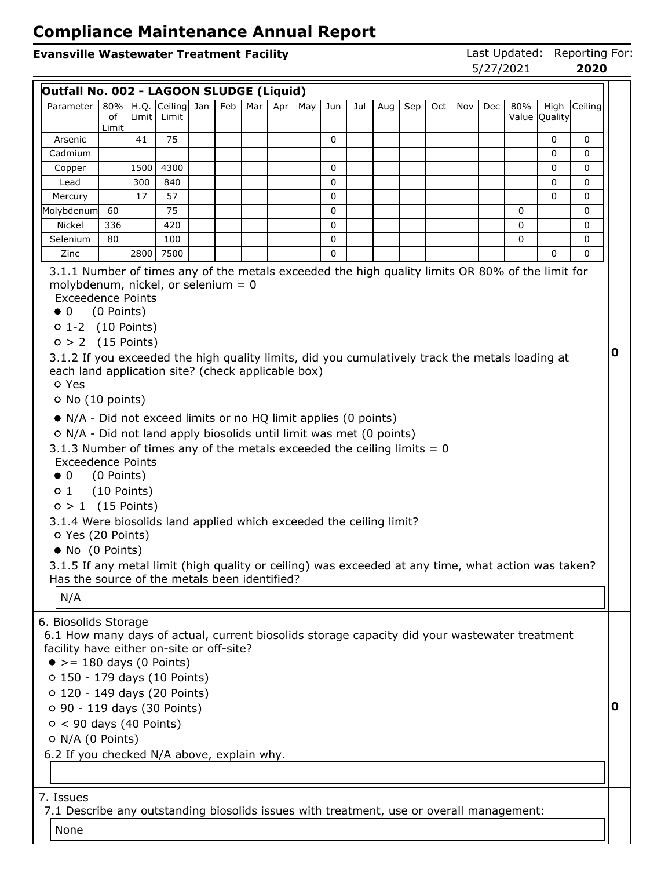# **Evansville Wastewater Treatment Facility Last Updated: Reporting For:**<br>
5/27/2021 **2020**

5/27/2021 **2020**

|                                                                                                                                                                                                                                                                                                                                                                                                                                                                                                                                                                                                                                                                                                                                                                                                                                                                 |                                           |      |                                         |     |     |     |     |     |     |     |     |     |     |     | <i>기 ㄴ!   ㄴ</i> ∪ㄴㅗ |                       |          |
|-----------------------------------------------------------------------------------------------------------------------------------------------------------------------------------------------------------------------------------------------------------------------------------------------------------------------------------------------------------------------------------------------------------------------------------------------------------------------------------------------------------------------------------------------------------------------------------------------------------------------------------------------------------------------------------------------------------------------------------------------------------------------------------------------------------------------------------------------------------------|-------------------------------------------|------|-----------------------------------------|-----|-----|-----|-----|-----|-----|-----|-----|-----|-----|-----|---------------------|-----------------------|----------|
| Outfall No. 002 - LAGOON SLUDGE (Liquid)                                                                                                                                                                                                                                                                                                                                                                                                                                                                                                                                                                                                                                                                                                                                                                                                                        |                                           |      |                                         |     |     |     |     |     |     |     |     |     |     |     |                     |                       |          |
| Parameter                                                                                                                                                                                                                                                                                                                                                                                                                                                                                                                                                                                                                                                                                                                                                                                                                                                       | of                                        |      | 80%   H.Q. Ceiling Jan<br>Limit   Limit | Feb | Mar | Apr | May | Jun | Jul | Aug | Sep | Oct | Nov | Dec | 80%                 | High<br>Value Quality | Ceiling  |
| Arsenic                                                                                                                                                                                                                                                                                                                                                                                                                                                                                                                                                                                                                                                                                                                                                                                                                                                         | Limit                                     | 41   | 75                                      |     |     |     |     | 0   |     |     |     |     |     |     |                     | 0                     | 0        |
| Cadmium                                                                                                                                                                                                                                                                                                                                                                                                                                                                                                                                                                                                                                                                                                                                                                                                                                                         |                                           |      |                                         |     |     |     |     |     |     |     |     |     |     |     |                     | 0                     | 0        |
| Copper                                                                                                                                                                                                                                                                                                                                                                                                                                                                                                                                                                                                                                                                                                                                                                                                                                                          |                                           | 1500 | 4300                                    |     |     |     |     | 0   |     |     |     |     |     |     |                     | 0                     | 0        |
| Lead                                                                                                                                                                                                                                                                                                                                                                                                                                                                                                                                                                                                                                                                                                                                                                                                                                                            |                                           | 300  | 840                                     |     |     |     |     | 0   |     |     |     |     |     |     |                     | 0                     | 0        |
| Mercury                                                                                                                                                                                                                                                                                                                                                                                                                                                                                                                                                                                                                                                                                                                                                                                                                                                         |                                           | 17   | 57                                      |     |     |     |     | 0   |     |     |     |     |     |     |                     | $\mathbf{0}$          | 0        |
| Molybdenum                                                                                                                                                                                                                                                                                                                                                                                                                                                                                                                                                                                                                                                                                                                                                                                                                                                      | 60                                        |      | 75                                      |     |     |     |     | 0   |     |     |     |     |     |     | 0                   |                       | 0        |
| Nickel                                                                                                                                                                                                                                                                                                                                                                                                                                                                                                                                                                                                                                                                                                                                                                                                                                                          | 336                                       |      | 420                                     |     |     |     |     | 0   |     |     |     |     |     |     | 0                   |                       | 0        |
| Selenium                                                                                                                                                                                                                                                                                                                                                                                                                                                                                                                                                                                                                                                                                                                                                                                                                                                        | 80                                        |      | 100                                     |     |     |     |     | 0   |     |     |     |     |     |     | 0                   |                       | 0        |
| Zinc                                                                                                                                                                                                                                                                                                                                                                                                                                                                                                                                                                                                                                                                                                                                                                                                                                                            |                                           | 2800 | 7500                                    |     |     |     |     | 0   |     |     |     |     |     |     |                     | 0                     | $\Omega$ |
| <b>Exceedence Points</b><br>$\bullet$ 0<br>$0 1-2$ (10 Points)<br>$0 > 2$ (15 Points)<br>3.1.2 If you exceeded the high quality limits, did you cumulatively track the metals loading at<br>each land application site? (check applicable box)<br>o Yes<br>O No (10 points)<br>• N/A - Did not exceed limits or no HQ limit applies (0 points)<br>O N/A - Did not land apply biosolids until limit was met (0 points)<br>3.1.3 Number of times any of the metals exceeded the ceiling limits $= 0$<br><b>Exceedence Points</b><br>$\bullet$ 0<br>$\circ$ 1<br>$0 > 1$ (15 Points)<br>3.1.4 Were biosolids land applied which exceeded the ceiling limit?<br>O Yes (20 Points)<br>• No (0 Points)<br>3.1.5 If any metal limit (high quality or ceiling) was exceeded at any time, what action was taken?<br>Has the source of the metals been identified?<br>N/A | (0 Points)<br>(0 Points)<br>$(10$ Points) |      |                                         |     |     |     |     |     |     |     |     |     |     |     |                     |                       |          |
| 6. Biosolids Storage<br>6.1 How many days of actual, current biosolids storage capacity did your wastewater treatment<br>facility have either on-site or off-site?<br>$\bullet$ >= 180 days (0 Points)<br>o 150 - 179 days (10 Points)<br>o 120 - 149 days (20 Points)<br>O 90 - 119 days (30 Points)<br>$0 < 90$ days (40 Points)<br>O N/A (0 Points)<br>6.2 If you checked N/A above, explain why.                                                                                                                                                                                                                                                                                                                                                                                                                                                            |                                           |      |                                         |     |     |     |     |     |     |     |     |     |     |     |                     |                       |          |
|                                                                                                                                                                                                                                                                                                                                                                                                                                                                                                                                                                                                                                                                                                                                                                                                                                                                 |                                           |      |                                         |     |     |     |     |     |     |     |     |     |     |     |                     |                       |          |
| 7. Issues<br>7.1 Describe any outstanding biosolids issues with treatment, use or overall management:                                                                                                                                                                                                                                                                                                                                                                                                                                                                                                                                                                                                                                                                                                                                                           |                                           |      |                                         |     |     |     |     |     |     |     |     |     |     |     |                     |                       |          |
| None                                                                                                                                                                                                                                                                                                                                                                                                                                                                                                                                                                                                                                                                                                                                                                                                                                                            |                                           |      |                                         |     |     |     |     |     |     |     |     |     |     |     |                     |                       |          |
|                                                                                                                                                                                                                                                                                                                                                                                                                                                                                                                                                                                                                                                                                                                                                                                                                                                                 |                                           |      |                                         |     |     |     |     |     |     |     |     |     |     |     |                     |                       |          |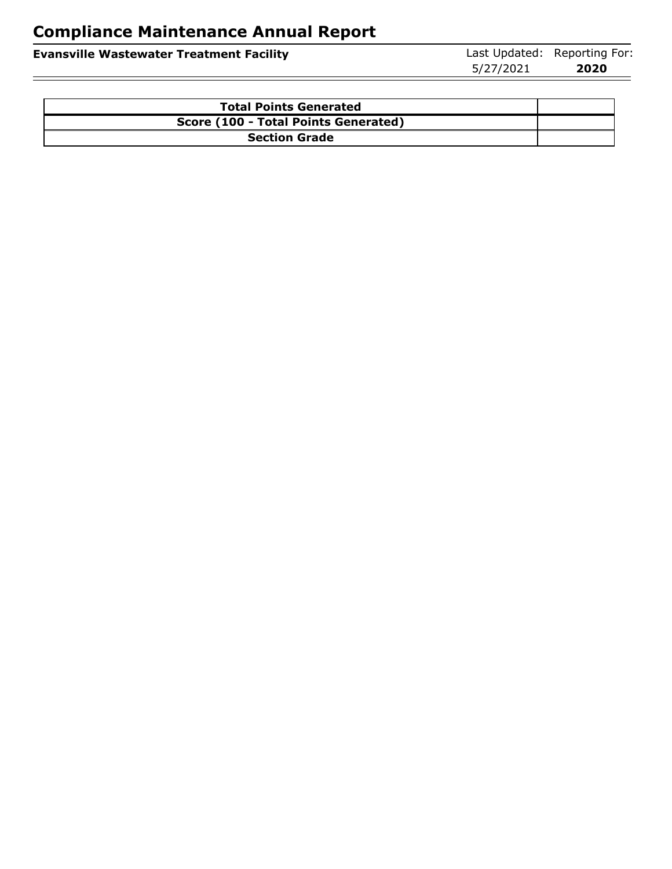| <b>Evansville Wastewater Treatment Facility</b> | Last Updated: Reporting For: |      |
|-------------------------------------------------|------------------------------|------|
|                                                 | 5/27/2021                    | 2020 |

| <b>Total Points Generated</b>        |  |
|--------------------------------------|--|
| Score (100 - Total Points Generated) |  |
| <b>Section Grade</b>                 |  |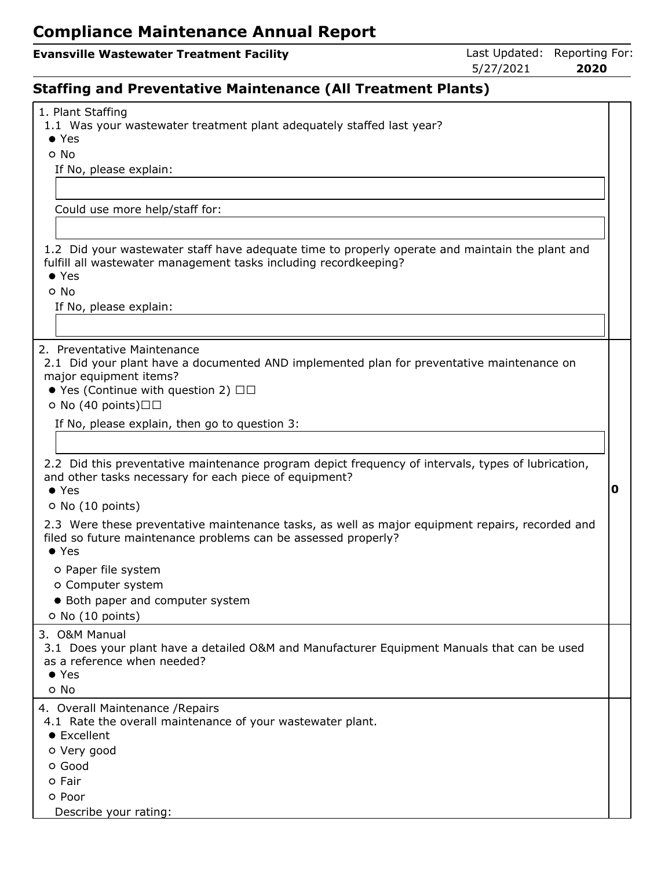#### **Evansville Wastewater Treatment Facility Last Updated: Reporting For:**

5/27/2021 **2020**

## **Staffing and Preventative Maintenance (All Treatment Plants)**

| 1. Plant Staffing<br>1.1 Was your wastewater treatment plant adequately staffed last year?<br>$\bullet$ Yes                                                                                                     |   |
|-----------------------------------------------------------------------------------------------------------------------------------------------------------------------------------------------------------------|---|
| o No                                                                                                                                                                                                            |   |
| If No, please explain:                                                                                                                                                                                          |   |
|                                                                                                                                                                                                                 |   |
|                                                                                                                                                                                                                 |   |
| Could use more help/staff for:                                                                                                                                                                                  |   |
|                                                                                                                                                                                                                 |   |
| 1.2 Did your wastewater staff have adequate time to properly operate and maintain the plant and<br>fulfill all wastewater management tasks including recordkeeping?<br>$\bullet$ Yes                            |   |
| o No                                                                                                                                                                                                            |   |
| If No, please explain:                                                                                                                                                                                          |   |
|                                                                                                                                                                                                                 |   |
| 2. Preventative Maintenance<br>2.1 Did your plant have a documented AND implemented plan for preventative maintenance on<br>major equipment items?<br>● Yes (Continue with question 2) □□<br>o No (40 points)□□ |   |
| If No, please explain, then go to question 3:                                                                                                                                                                   |   |
|                                                                                                                                                                                                                 |   |
|                                                                                                                                                                                                                 |   |
| 2.2 Did this preventative maintenance program depict frequency of intervals, types of lubrication,<br>and other tasks necessary for each piece of equipment?<br>$\bullet$ Yes                                   | 0 |
| O No (10 points)                                                                                                                                                                                                |   |
| 2.3 Were these preventative maintenance tasks, as well as major equipment repairs, recorded and<br>filed so future maintenance problems can be assessed properly?<br>$\bullet$ Yes                              |   |
| o Paper file system                                                                                                                                                                                             |   |
| O Computer system                                                                                                                                                                                               |   |
| • Both paper and computer system                                                                                                                                                                                |   |
| O No (10 points)                                                                                                                                                                                                |   |
| 3. O&M Manual<br>3.1 Does your plant have a detailed O&M and Manufacturer Equipment Manuals that can be used<br>as a reference when needed?                                                                     |   |
| $\bullet$ Yes                                                                                                                                                                                                   |   |
| o No                                                                                                                                                                                                            |   |
| 4. Overall Maintenance / Repairs<br>4.1 Rate the overall maintenance of your wastewater plant.<br>• Excellent                                                                                                   |   |
| o Very good                                                                                                                                                                                                     |   |
| o Good                                                                                                                                                                                                          |   |
| o Fair                                                                                                                                                                                                          |   |
| o Poor                                                                                                                                                                                                          |   |
| Describe your rating:                                                                                                                                                                                           |   |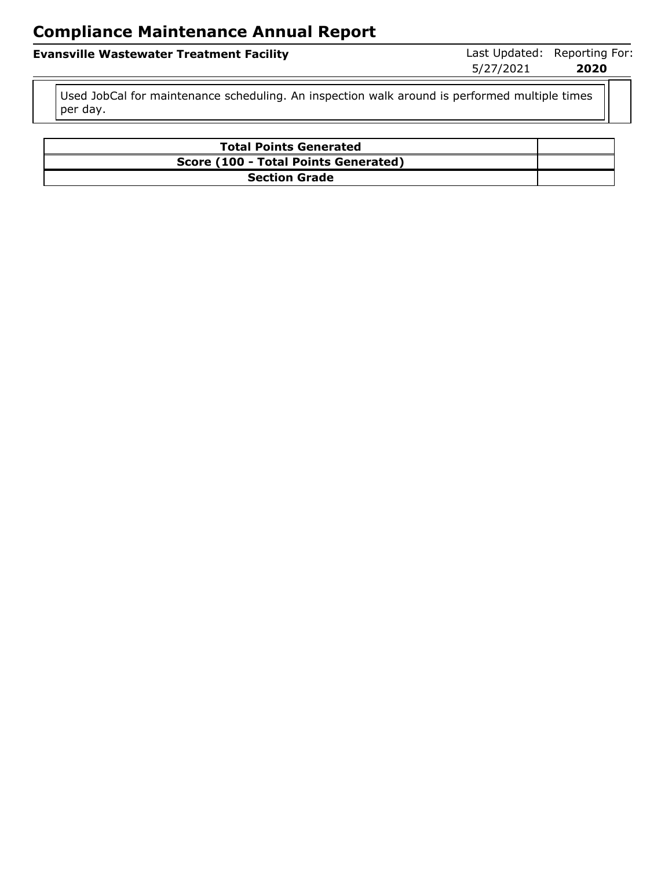**Evansville Wastewater Treatment Facility Last Updated: Reporting For:** 

5/27/2021 **2020**

Used JobCal for maintenance scheduling. An inspection walk around is performed multiple times per day.

| <b>Total Points Generated</b>        |  |
|--------------------------------------|--|
| Score (100 - Total Points Generated) |  |
| <b>Section Grade</b>                 |  |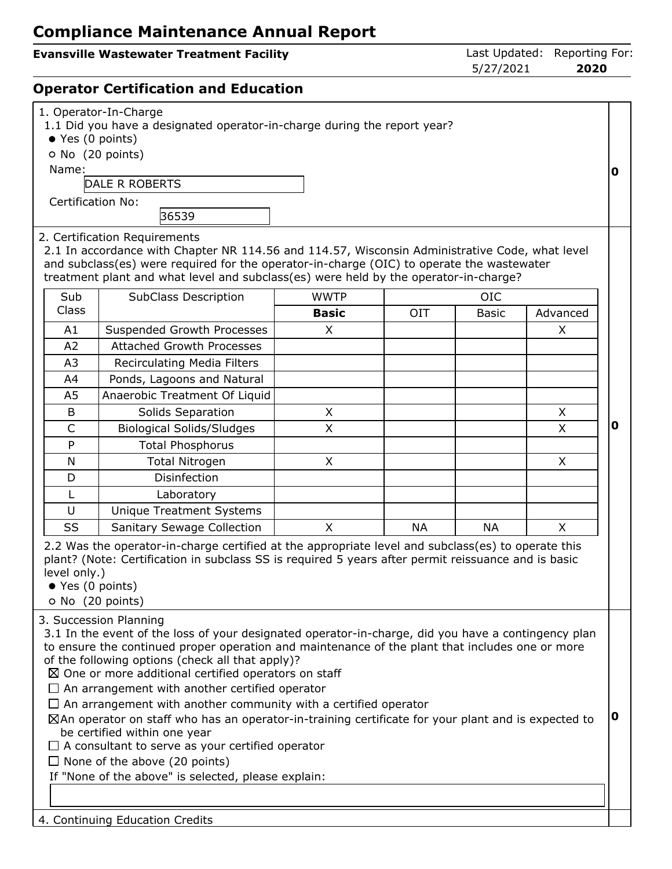#### **Evansville Wastewater Treatment Facility Last Updated: Reporting For:**

5/27/2021 **2020**

#### **Operator Certification and Education**

| 1. Operator-In-Charge<br>1.1 Did you have a designated operator-in-charge during the report year?<br>● Yes (0 points)<br>O No (20 points)<br>Name:<br>DALE R ROBERTS<br><b>Certification No:</b><br>36539<br>2. Certification Requirements                                                                                                                                                                                                                                                                                                                                                                                                                                                                                                                                                             |                                   |              |           |           |          |   |  |  |
|--------------------------------------------------------------------------------------------------------------------------------------------------------------------------------------------------------------------------------------------------------------------------------------------------------------------------------------------------------------------------------------------------------------------------------------------------------------------------------------------------------------------------------------------------------------------------------------------------------------------------------------------------------------------------------------------------------------------------------------------------------------------------------------------------------|-----------------------------------|--------------|-----------|-----------|----------|---|--|--|
| 2.1 In accordance with Chapter NR 114.56 and 114.57, Wisconsin Administrative Code, what level<br>and subclass(es) were required for the operator-in-charge (OIC) to operate the wastewater<br>treatment plant and what level and subclass(es) were held by the operator-in-charge?<br>Sub<br><b>WWTP</b><br><b>OIC</b>                                                                                                                                                                                                                                                                                                                                                                                                                                                                                |                                   |              |           |           |          |   |  |  |
| Class                                                                                                                                                                                                                                                                                                                                                                                                                                                                                                                                                                                                                                                                                                                                                                                                  | SubClass Description              | <b>Basic</b> | OIT       | Basic     | Advanced |   |  |  |
| A1                                                                                                                                                                                                                                                                                                                                                                                                                                                                                                                                                                                                                                                                                                                                                                                                     | Suspended Growth Processes        | X            |           |           | X        |   |  |  |
| A2                                                                                                                                                                                                                                                                                                                                                                                                                                                                                                                                                                                                                                                                                                                                                                                                     | <b>Attached Growth Processes</b>  |              |           |           |          |   |  |  |
| A3                                                                                                                                                                                                                                                                                                                                                                                                                                                                                                                                                                                                                                                                                                                                                                                                     | Recirculating Media Filters       |              |           |           |          |   |  |  |
| A4                                                                                                                                                                                                                                                                                                                                                                                                                                                                                                                                                                                                                                                                                                                                                                                                     | Ponds, Lagoons and Natural        |              |           |           |          |   |  |  |
| A5                                                                                                                                                                                                                                                                                                                                                                                                                                                                                                                                                                                                                                                                                                                                                                                                     | Anaerobic Treatment Of Liquid     |              |           |           |          |   |  |  |
| B                                                                                                                                                                                                                                                                                                                                                                                                                                                                                                                                                                                                                                                                                                                                                                                                      | Solids Separation                 | X            |           |           | X        |   |  |  |
| $\mathsf{C}$                                                                                                                                                                                                                                                                                                                                                                                                                                                                                                                                                                                                                                                                                                                                                                                           | <b>Biological Solids/Sludges</b>  | X            |           |           | X.       | 0 |  |  |
| P                                                                                                                                                                                                                                                                                                                                                                                                                                                                                                                                                                                                                                                                                                                                                                                                      | <b>Total Phosphorus</b>           |              |           |           |          |   |  |  |
| N                                                                                                                                                                                                                                                                                                                                                                                                                                                                                                                                                                                                                                                                                                                                                                                                      | <b>Total Nitrogen</b>             | X            |           |           | X        |   |  |  |
| D                                                                                                                                                                                                                                                                                                                                                                                                                                                                                                                                                                                                                                                                                                                                                                                                      | Disinfection                      |              |           |           |          |   |  |  |
| L                                                                                                                                                                                                                                                                                                                                                                                                                                                                                                                                                                                                                                                                                                                                                                                                      | Laboratory                        |              |           |           |          |   |  |  |
| U                                                                                                                                                                                                                                                                                                                                                                                                                                                                                                                                                                                                                                                                                                                                                                                                      | <b>Unique Treatment Systems</b>   |              |           |           |          |   |  |  |
| SS                                                                                                                                                                                                                                                                                                                                                                                                                                                                                                                                                                                                                                                                                                                                                                                                     | <b>Sanitary Sewage Collection</b> | X            | <b>NA</b> | <b>NA</b> | X        |   |  |  |
| 2.2 Was the operator-in-charge certified at the appropriate level and subclass(es) to operate this<br>plant? (Note: Certification in subclass SS is required 5 years after permit reissuance and is basic<br>level only.)<br>● Yes (0 points)<br>O No (20 points)                                                                                                                                                                                                                                                                                                                                                                                                                                                                                                                                      |                                   |              |           |           |          |   |  |  |
| 3. Succession Planning<br>3.1 In the event of the loss of your designated operator-in-charge, did you have a contingency plan<br>to ensure the continued proper operation and maintenance of the plant that includes one or more<br>of the following options (check all that apply)?<br>$\boxtimes$ One or more additional certified operators on staff<br>$\Box$ An arrangement with another certified operator<br>$\Box$ An arrangement with another community with a certified operator<br>$\boxtimes$ An operator on staff who has an operator-in-training certificate for your plant and is expected to<br>be certified within one year<br>$\Box$ A consultant to serve as your certified operator<br>$\Box$ None of the above (20 points)<br>If "None of the above" is selected, please explain: |                                   |              |           |           |          |   |  |  |
|                                                                                                                                                                                                                                                                                                                                                                                                                                                                                                                                                                                                                                                                                                                                                                                                        | 4. Continuing Education Credits   |              |           |           |          |   |  |  |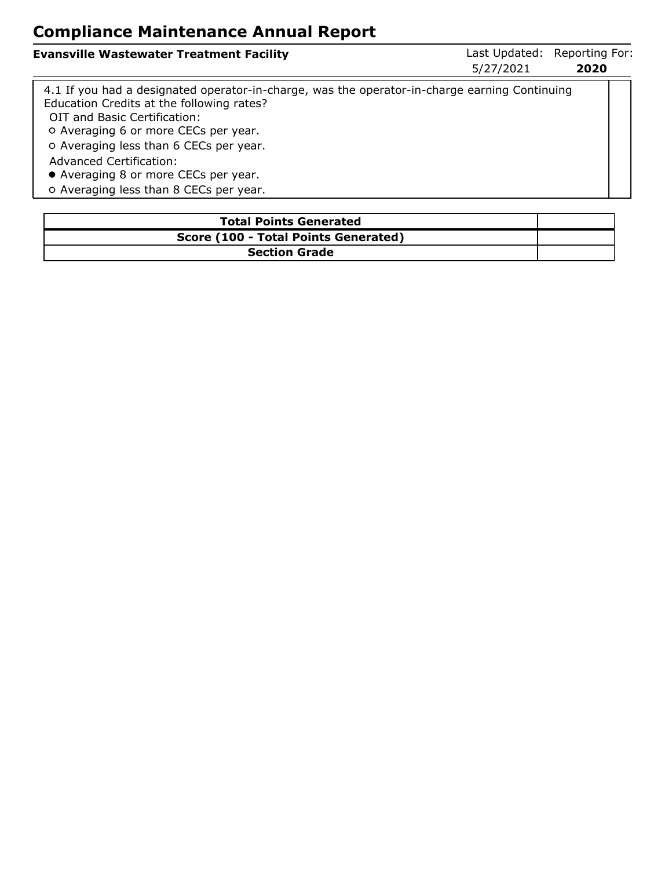| <b>Evansville Wastewater Treatment Facility</b>                                                                                                                            | 5/27/2021 | Last Updated: Reporting For:<br>2020 |
|----------------------------------------------------------------------------------------------------------------------------------------------------------------------------|-----------|--------------------------------------|
| 4.1 If you had a designated operator-in-charge, was the operator-in-charge earning Continuing<br>Education Credits at the following rates?<br>OIT and Basic Certification: |           |                                      |
| O Averaging 6 or more CECs per year.                                                                                                                                       |           |                                      |
| O Averaging less than 6 CECs per year.                                                                                                                                     |           |                                      |
| <b>Advanced Certification:</b>                                                                                                                                             |           |                                      |

Averaging 8 or more CECs per year.

o Averaging less than 8 CECs per year.

| <b>Total Points Generated</b>        |  |
|--------------------------------------|--|
| Score (100 - Total Points Generated) |  |
| <b>Section Grade</b>                 |  |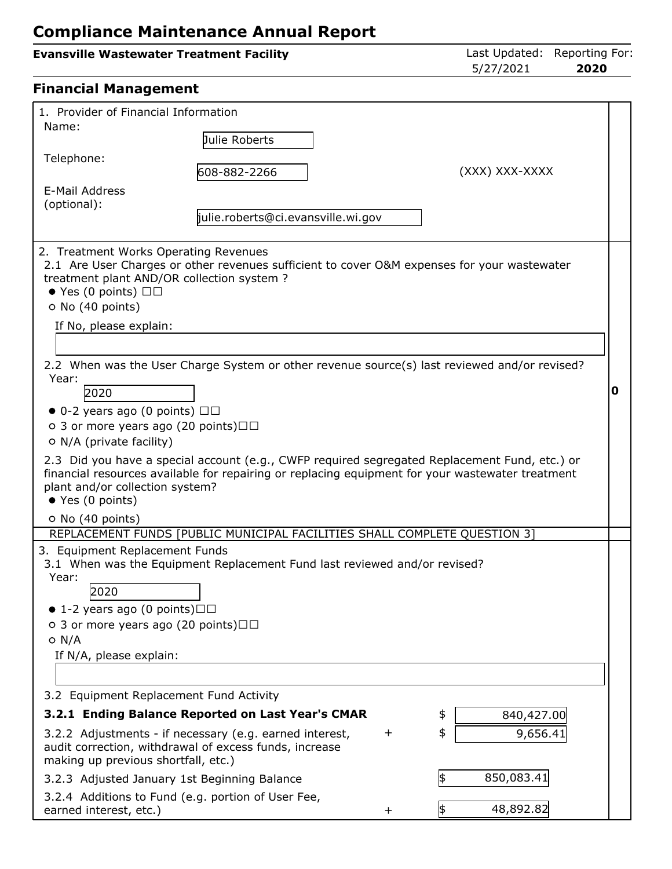| <b>Evansville Wastewater Treatment Facility</b>                                                                                                                                                                                                                                                                                                                                                                                                                                                                                                                                                                                                                                                                                                                       |                                    |           | 5/27/2021        | Last Updated: Reporting For:<br>2020 |
|-----------------------------------------------------------------------------------------------------------------------------------------------------------------------------------------------------------------------------------------------------------------------------------------------------------------------------------------------------------------------------------------------------------------------------------------------------------------------------------------------------------------------------------------------------------------------------------------------------------------------------------------------------------------------------------------------------------------------------------------------------------------------|------------------------------------|-----------|------------------|--------------------------------------|
| <b>Financial Management</b>                                                                                                                                                                                                                                                                                                                                                                                                                                                                                                                                                                                                                                                                                                                                           |                                    |           |                  |                                      |
| 1. Provider of Financial Information<br>Name:                                                                                                                                                                                                                                                                                                                                                                                                                                                                                                                                                                                                                                                                                                                         |                                    |           |                  |                                      |
| Telephone:                                                                                                                                                                                                                                                                                                                                                                                                                                                                                                                                                                                                                                                                                                                                                            | Julie Roberts<br>608-882-2266      |           | (XXX) XXX-XXXX   |                                      |
| E-Mail Address<br>(optional):                                                                                                                                                                                                                                                                                                                                                                                                                                                                                                                                                                                                                                                                                                                                         | julie.roberts@ci.evansville.wi.gov |           |                  |                                      |
| 2. Treatment Works Operating Revenues<br>2.1 Are User Charges or other revenues sufficient to cover O&M expenses for your wastewater<br>treatment plant AND/OR collection system ?<br>$\bullet$ Yes (0 points) $\Box$<br>O No (40 points)<br>If No, please explain:<br>2.2 When was the User Charge System or other revenue source(s) last reviewed and/or revised?<br>Year:<br>2020<br>$\bullet$ 0-2 years ago (0 points) $\Box$<br>○ 3 or more years ago (20 points) $\Box$<br>O N/A (private facility)<br>2.3 Did you have a special account (e.g., CWFP required segregated Replacement Fund, etc.) or<br>financial resources available for repairing or replacing equipment for your wastewater treatment<br>plant and/or collection system?<br>● Yes (0 points) |                                    |           |                  | 0                                    |
| O No (40 points)<br>REPLACEMENT FUNDS [PUBLIC MUNICIPAL FACILITIES SHALL COMPLETE QUESTION 3]<br>3. Equipment Replacement Funds<br>3.1 When was the Equipment Replacement Fund last reviewed and/or revised?<br>Year:<br>2020<br>$\bullet$ 1-2 years ago (0 points) $\Box$<br>○ 3 or more years ago (20 points) $\Box$<br>$O$ N/A<br>If N/A, please explain:                                                                                                                                                                                                                                                                                                                                                                                                          |                                    |           |                  |                                      |
| 3.2 Equipment Replacement Fund Activity<br>3.2.1 Ending Balance Reported on Last Year's CMAR                                                                                                                                                                                                                                                                                                                                                                                                                                                                                                                                                                                                                                                                          |                                    |           | 840,427.00<br>\$ |                                      |
| 3.2.2 Adjustments - if necessary (e.g. earned interest,<br>audit correction, withdrawal of excess funds, increase<br>making up previous shortfall, etc.)                                                                                                                                                                                                                                                                                                                                                                                                                                                                                                                                                                                                              |                                    | $\ddot{}$ | \$<br>9,656.41   |                                      |
| 3.2.3 Adjusted January 1st Beginning Balance                                                                                                                                                                                                                                                                                                                                                                                                                                                                                                                                                                                                                                                                                                                          |                                    |           | \$<br>850,083.41 |                                      |

3.2.4 Additions to Fund (e.g. portion of User Fee, earned interest, etc.)  $+ 48,892.82$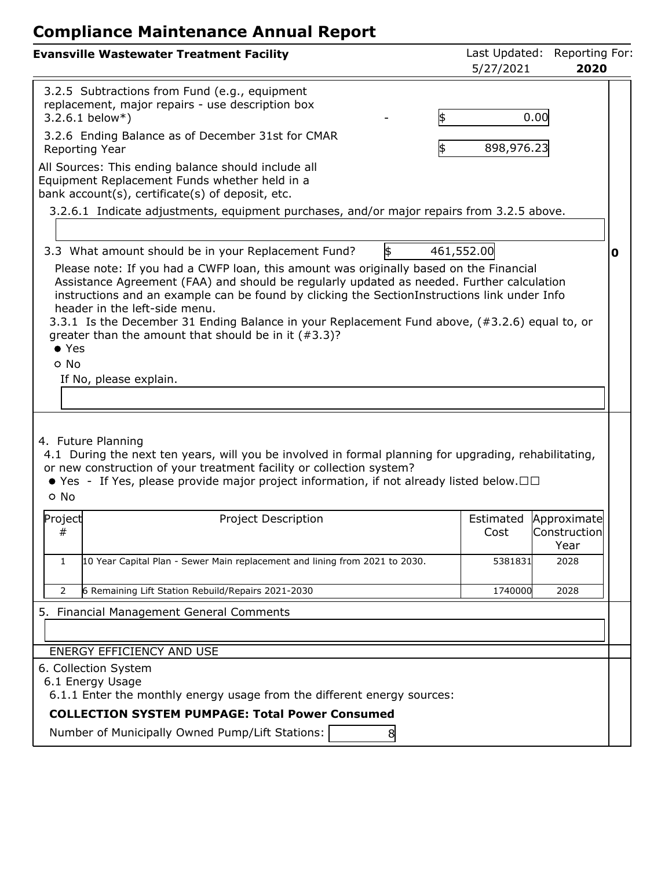| <b>Evansville Wastewater Treatment Facility</b>                                                                                                                                                                                                                                                                                                                                                                                            | Last Updated:<br>5/27/2021 | Reporting For:<br>2020 |   |
|--------------------------------------------------------------------------------------------------------------------------------------------------------------------------------------------------------------------------------------------------------------------------------------------------------------------------------------------------------------------------------------------------------------------------------------------|----------------------------|------------------------|---|
| 3.2.5 Subtractions from Fund (e.g., equipment<br>replacement, major repairs - use description box<br>\$<br>$3.2.6.1$ below*)                                                                                                                                                                                                                                                                                                               |                            | 0.00                   |   |
| 3.2.6 Ending Balance as of December 31st for CMAR<br>\$<br>Reporting Year                                                                                                                                                                                                                                                                                                                                                                  | 898,976.23                 |                        |   |
| All Sources: This ending balance should include all<br>Equipment Replacement Funds whether held in a<br>bank account(s), certificate(s) of deposit, etc.                                                                                                                                                                                                                                                                                   |                            |                        |   |
| 3.2.6.1 Indicate adjustments, equipment purchases, and/or major repairs from 3.2.5 above.                                                                                                                                                                                                                                                                                                                                                  |                            |                        |   |
| \$<br>3.3 What amount should be in your Replacement Fund?<br>Please note: If you had a CWFP loan, this amount was originally based on the Financial                                                                                                                                                                                                                                                                                        | 461,552.00                 |                        | 0 |
| Assistance Agreement (FAA) and should be regularly updated as needed. Further calculation<br>instructions and an example can be found by clicking the SectionInstructions link under Info<br>header in the left-side menu.<br>3.3.1 Is the December 31 Ending Balance in your Replacement Fund above, (#3.2.6) equal to, or<br>greater than the amount that should be in it $(\#3.3)$ ?<br>$\bullet$ Yes<br>o No<br>If No, please explain. |                            |                        |   |
| 4. Future Planning<br>4.1 During the next ten years, will you be involved in formal planning for upgrading, rehabilitating,<br>or new construction of your treatment facility or collection system?<br>• Yes - If Yes, please provide major project information, if not already listed below. $\square \square$<br>o No<br>Project<br>Project Description                                                                                  |                            | Estimated Approximate  |   |
| #                                                                                                                                                                                                                                                                                                                                                                                                                                          | Cost                       | Construction <br>Year  |   |
| 10 Year Capital Plan - Sewer Main replacement and lining from 2021 to 2030.<br>$\mathbf{1}$                                                                                                                                                                                                                                                                                                                                                | 5381831                    | 2028                   |   |
| 6 Remaining Lift Station Rebuild/Repairs 2021-2030<br>$\overline{2}$                                                                                                                                                                                                                                                                                                                                                                       | 1740000                    | 2028                   |   |
| 5.<br><b>Financial Management General Comments</b>                                                                                                                                                                                                                                                                                                                                                                                         |                            |                        |   |
| ENERGY EFFICIENCY AND USE                                                                                                                                                                                                                                                                                                                                                                                                                  |                            |                        |   |
| 6. Collection System<br>6.1 Energy Usage<br>6.1.1 Enter the monthly energy usage from the different energy sources:                                                                                                                                                                                                                                                                                                                        |                            |                        |   |
| <b>COLLECTION SYSTEM PUMPAGE: Total Power Consumed</b>                                                                                                                                                                                                                                                                                                                                                                                     |                            |                        |   |
| Number of Municipally Owned Pump/Lift Stations:<br>8                                                                                                                                                                                                                                                                                                                                                                                       |                            |                        |   |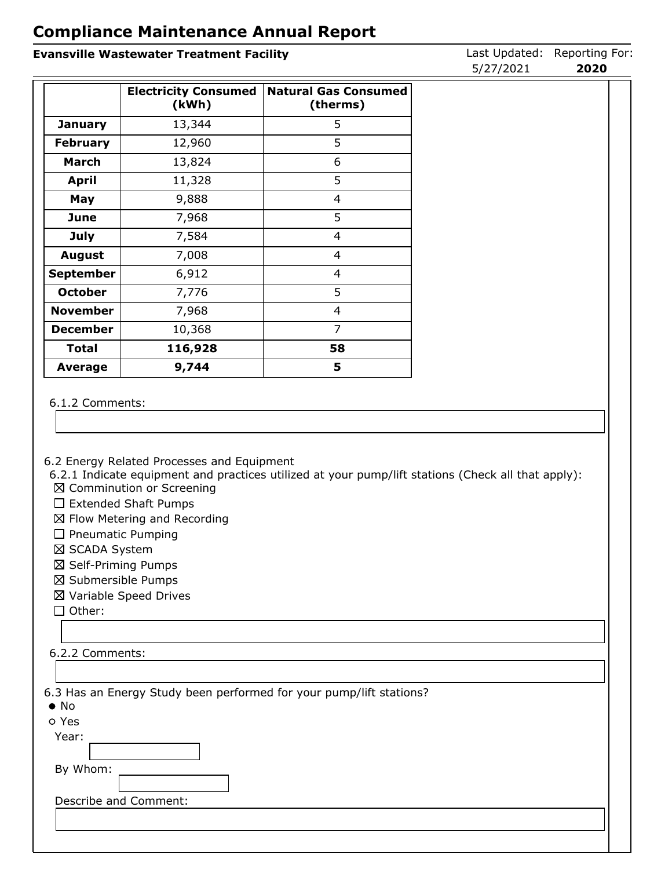#### **Evansville Wastewater Treatment Facility Last Updated: Reporting For: Evansville Wastewater Treatment Facility**

|                 | <b>Electricity Consumed</b><br>(kWh) | <b>Natural Gas Consumed</b><br>(therms) |
|-----------------|--------------------------------------|-----------------------------------------|
| <b>January</b>  | 13,344                               | 5                                       |
| <b>February</b> | 12,960                               | 5                                       |
| <b>March</b>    | 13,824                               | 6                                       |
| <b>April</b>    | 11,328                               | 5                                       |
| May             | 9,888                                | 4                                       |
| June            | 7,968                                | 5                                       |
| <b>July</b>     | 7,584                                | 4                                       |
| <b>August</b>   | 7,008                                | 4                                       |
| September       | 6,912                                | 4                                       |
| <b>October</b>  | 7,776                                | 5                                       |
| <b>November</b> | 7,968                                | 4                                       |
| <b>December</b> | 10,368                               | 7                                       |
| <b>Total</b>    | 116,928                              | 58                                      |
| Average         | 9,744                                | 5                                       |

#### 6.1.2 Comments:

6.2 Energy Related Processes and Equipment

6.2.1 Indicate equipment and practices utilized at your pump/lift stations (Check all that apply): ■ Comminution or Screening

- 
- $\square$  Extended Shaft Pumps
- $\boxtimes$  Flow Metering and Recording
- $\square$  Pneumatic Pumping
- ⊠ SCADA System
- Self-Priming Pumps
- Submersible Pumps
- Variable Speed Drives

 $\Box$  Other:

#### 6.2.2 Comments:

6.3 Has an Energy Study been performed for your pump/lift stations?

| ۰.<br>× | ۰, |
|---------|----|
|         |    |

| Yes<br>0 |
|----------|
|----------|

Year:

By Whom:

Describe and Comment:

5/27/2021 **2020**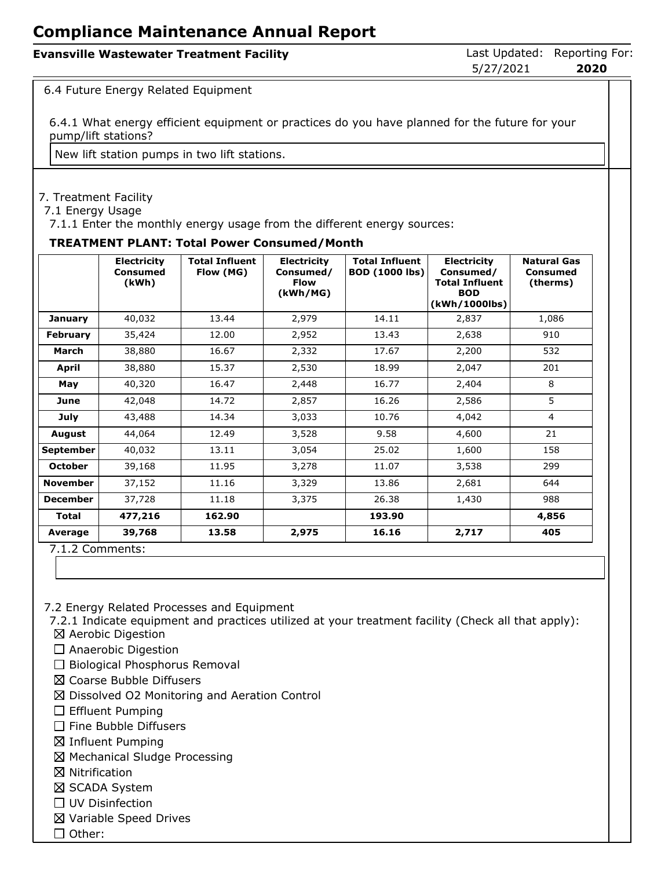| <b>Evansville Wastewater Treatment Facility</b> |           | Last Updated: Reporting For: |
|-------------------------------------------------|-----------|------------------------------|
|                                                 | 5/27/2021 | 2020                         |

6.4 Future Energy Related Equipment

6.4.1 What energy efficient equipment or practices do you have planned for the future for your pump/lift stations?

New lift station pumps in two lift stations.

#### 7. Treatment Facility

7.1 Energy Usage

7.1.1 Enter the monthly energy usage from the different energy sources:

#### **TREATMENT PLANT: Total Power Consumed/Month**

|                  | <b>Electricity</b><br>Consumed<br>(kWh) | <b>Total Influent</b><br>Flow (MG) | <b>Electricity</b><br>Consumed/<br><b>Flow</b><br>(kWh/MG) | <b>Total Influent</b><br><b>BOD (1000 lbs)</b> | <b>Electricity</b><br>Consumed/<br><b>Total Influent</b><br><b>BOD</b><br>(kWh/1000lbs) | <b>Natural Gas</b><br>Consumed<br>(therms) |
|------------------|-----------------------------------------|------------------------------------|------------------------------------------------------------|------------------------------------------------|-----------------------------------------------------------------------------------------|--------------------------------------------|
| January          | 40,032                                  | 13.44                              | 2,979                                                      | 14.11                                          | 2,837                                                                                   | 1,086                                      |
| <b>February</b>  | 35,424                                  | 12.00                              | 2,952                                                      | 13.43                                          | 2,638                                                                                   | 910                                        |
| March            | 38,880                                  | 16.67                              | 2,332                                                      | 17.67                                          | 2,200                                                                                   | 532                                        |
| April            | 38,880                                  | 15.37                              | 2,530                                                      | 18.99                                          | 2,047                                                                                   | 201                                        |
| May              | 40,320                                  | 16.47                              | 2,448                                                      | 16.77                                          | 2,404                                                                                   | 8                                          |
| June             | 42,048                                  | 14.72                              | 2,857                                                      | 16.26                                          | 2,586                                                                                   | 5                                          |
| July             | 43,488                                  | 14.34                              | 3,033                                                      | 10.76                                          | 4,042                                                                                   | $\overline{4}$                             |
| <b>August</b>    | 44,064                                  | 12.49                              | 3,528                                                      | 9.58                                           | 4,600                                                                                   | 21                                         |
| <b>September</b> | 40,032                                  | 13.11                              | 3,054                                                      | 25.02                                          | 1,600                                                                                   | 158                                        |
| <b>October</b>   | 39,168                                  | 11.95                              | 3,278                                                      | 11.07                                          | 3,538                                                                                   | 299                                        |
| <b>November</b>  | 37,152                                  | 11.16                              | 3,329                                                      | 13.86                                          | 2,681                                                                                   | 644                                        |
| <b>December</b>  | 37,728                                  | 11.18                              | 3,375                                                      | 26.38                                          | 1,430                                                                                   | 988                                        |
| <b>Total</b>     | 477,216                                 | 162.90                             |                                                            | 193.90                                         |                                                                                         | 4,856                                      |
| Average          | 39,768                                  | 13.58                              | 2,975                                                      | 16.16                                          | 2,717                                                                                   | 405                                        |

7.1.2 Comments:

7.2 Energy Related Processes and Equipment

7.2.1 Indicate equipment and practices utilized at your treatment facility (Check all that apply):

- $\boxtimes$  Aerobic Digestion
- $\square$  Anaerobic Digestion
- $\Box$  Biological Phosphorus Removal
- Coarse Bubble Diffusers
- $\boxtimes$  Dissolved O2 Monitoring and Aeration Control
- $\Box$  Effluent Pumping
- $\Box$  Fine Bubble Diffusers
- $\boxtimes$  Influent Pumping
- Mechanical Sludge Processing
- **⊠** Nitrification
- ⊠ SCADA System
- □ UV Disinfection
- Variable Speed Drives
- $\Box$  Other: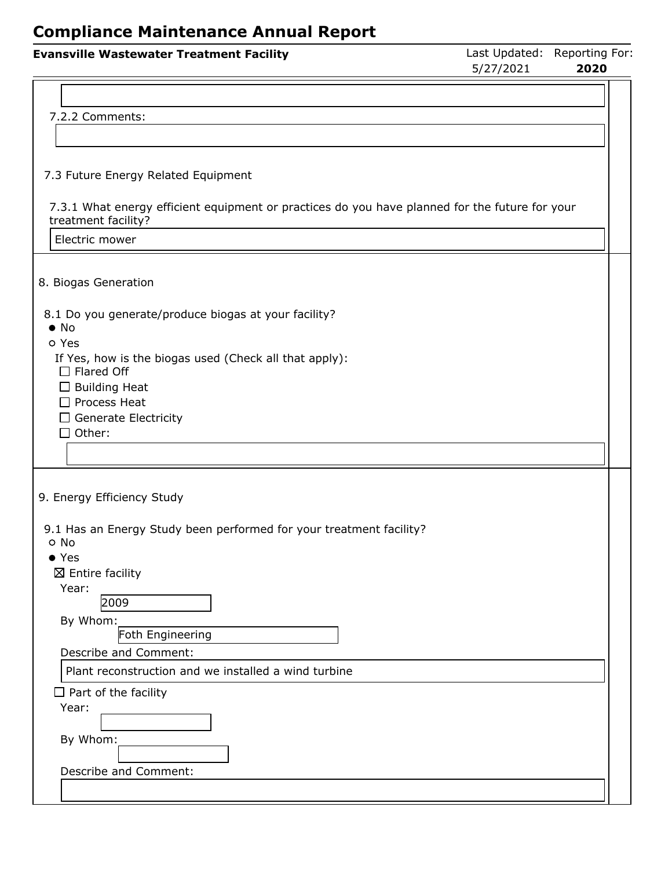| <b>Evansville Wastewater Treatment Facility</b>                                                                       | 5/27/2021 | Last Updated: Reporting For:<br>2020 |
|-----------------------------------------------------------------------------------------------------------------------|-----------|--------------------------------------|
|                                                                                                                       |           |                                      |
| 7.2.2 Comments:                                                                                                       |           |                                      |
|                                                                                                                       |           |                                      |
| 7.3 Future Energy Related Equipment                                                                                   |           |                                      |
| 7.3.1 What energy efficient equipment or practices do you have planned for the future for your<br>treatment facility? |           |                                      |
| Electric mower                                                                                                        |           |                                      |
| 8. Biogas Generation                                                                                                  |           |                                      |
| 8.1 Do you generate/produce biogas at your facility?<br>$\bullet$ No                                                  |           |                                      |
| o Yes<br>If Yes, how is the biogas used (Check all that apply):<br>$\Box$ Flared Off                                  |           |                                      |
| $\Box$ Building Heat<br>$\Box$ Process Heat                                                                           |           |                                      |
| $\Box$ Generate Electricity                                                                                           |           |                                      |
| $\square$ Other:                                                                                                      |           |                                      |
|                                                                                                                       |           |                                      |
| 9. Energy Efficiency Study                                                                                            |           |                                      |
| 9.1 Has an Energy Study been performed for your treatment facility?                                                   |           |                                      |
| o No<br>$\bullet$ Yes                                                                                                 |           |                                      |
| $\boxtimes$ Entire facility                                                                                           |           |                                      |
| Year:<br>2009                                                                                                         |           |                                      |
| By Whom:                                                                                                              |           |                                      |
| Foth Engineering                                                                                                      |           |                                      |
| Describe and Comment:                                                                                                 |           |                                      |
| Plant reconstruction and we installed a wind turbine                                                                  |           |                                      |
| $\Box$ Part of the facility<br>Year:                                                                                  |           |                                      |
|                                                                                                                       |           |                                      |
| By Whom:                                                                                                              |           |                                      |
| Describe and Comment:                                                                                                 |           |                                      |
|                                                                                                                       |           |                                      |
|                                                                                                                       |           |                                      |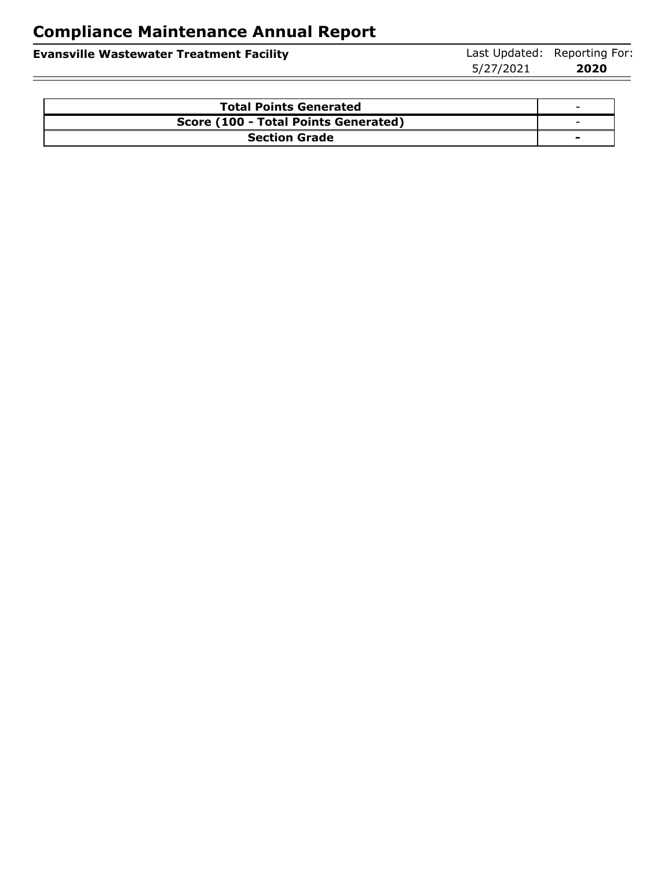|                                                 | 5/27/2021 | 2020                         |
|-------------------------------------------------|-----------|------------------------------|
| <b>Evansville Wastewater Treatment Facility</b> |           | Last Updated: Reporting For: |

| <b>Total Points Generated</b>        | $\overline{\phantom{a}}$ |
|--------------------------------------|--------------------------|
| Score (100 - Total Points Generated) | $\overline{\phantom{a}}$ |
| <b>Section Grade</b>                 | -                        |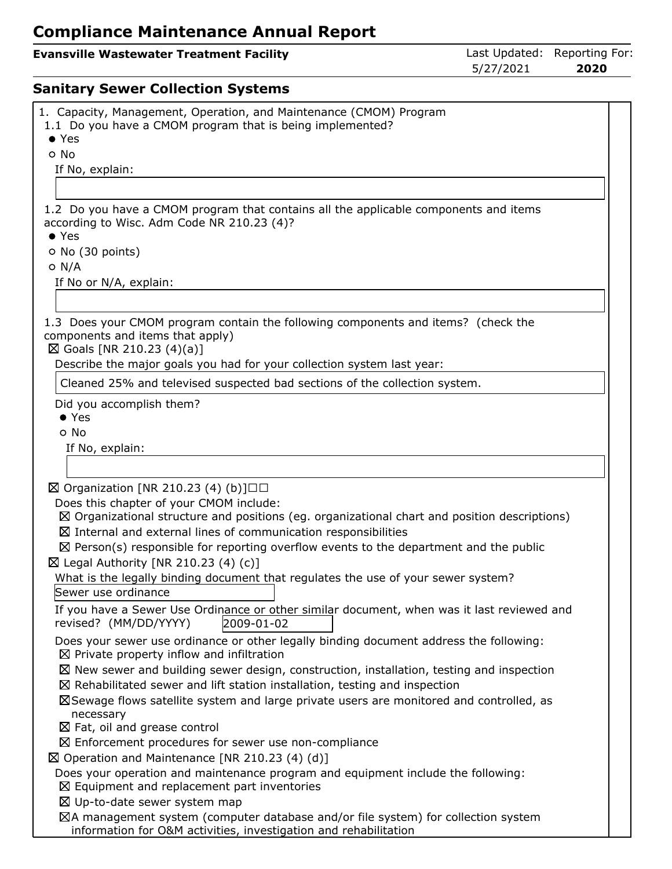#### **Evansville Wastewater Treatment Facility Last Updated: Reporting For:**

5/27/2021 **2020**

## **Sanitary Sewer Collection Systems**

| 1. Capacity, Management, Operation, and Maintenance (CMOM) Program<br>1.1 Do you have a CMOM program that is being implemented?   |
|-----------------------------------------------------------------------------------------------------------------------------------|
| $\bullet$ Yes                                                                                                                     |
| o No                                                                                                                              |
| If No, explain:                                                                                                                   |
|                                                                                                                                   |
| 1.2 Do you have a CMOM program that contains all the applicable components and items                                              |
| according to Wisc. Adm Code NR 210.23 (4)?                                                                                        |
| $\bullet$ Yes                                                                                                                     |
| O No (30 points)                                                                                                                  |
| $O$ N/A                                                                                                                           |
| If No or N/A, explain:                                                                                                            |
|                                                                                                                                   |
|                                                                                                                                   |
| 1.3 Does your CMOM program contain the following components and items? (check the<br>components and items that apply)             |
| ⊠ Goals [NR 210.23 (4)(a)]                                                                                                        |
| Describe the major goals you had for your collection system last year:                                                            |
| Cleaned 25% and televised suspected bad sections of the collection system.                                                        |
| Did you accomplish them?                                                                                                          |
| $\bullet$ Yes                                                                                                                     |
| o No                                                                                                                              |
| If No, explain:                                                                                                                   |
|                                                                                                                                   |
| $\boxtimes$ Organization [NR 210.23 (4) (b)]□□                                                                                    |
| Does this chapter of your CMOM include:                                                                                           |
| $\boxtimes$ Organizational structure and positions (eg. organizational chart and position descriptions)                           |
| $\boxtimes$ Internal and external lines of communication responsibilities                                                         |
| $\boxtimes$ Person(s) responsible for reporting overflow events to the department and the public                                  |
| $\boxtimes$ Legal Authority [NR 210.23 (4) (c)]                                                                                   |
| What is the legally binding document that regulates the use of your sewer system?                                                 |
| Sewer use ordinance                                                                                                               |
| If you have a Sewer Use Ordinance or other similar document, when was it last reviewed and<br>2009-01-02<br>revised? (MM/DD/YYYY) |
| Does your sewer use ordinance or other legally binding document address the following:                                            |
| $\boxtimes$ Private property inflow and infiltration                                                                              |
| $\boxtimes$ New sewer and building sewer design, construction, installation, testing and inspection                               |
| $\boxtimes$ Rehabilitated sewer and lift station installation, testing and inspection                                             |
| ⊠Sewage flows satellite system and large private users are monitored and controlled, as                                           |
| necessary                                                                                                                         |
| $\boxtimes$ Fat, oil and grease control                                                                                           |
| $\boxtimes$ Enforcement procedures for sewer use non-compliance                                                                   |
| $\boxtimes$ Operation and Maintenance [NR 210.23 (4) (d)]                                                                         |
| Does your operation and maintenance program and equipment include the following:                                                  |
| $\boxtimes$ Equipment and replacement part inventories                                                                            |
| $\boxtimes$ Up-to-date sewer system map                                                                                           |
| ⊠A management system (computer database and/or file system) for collection system                                                 |
| information for O&M activities, investigation and rehabilitation                                                                  |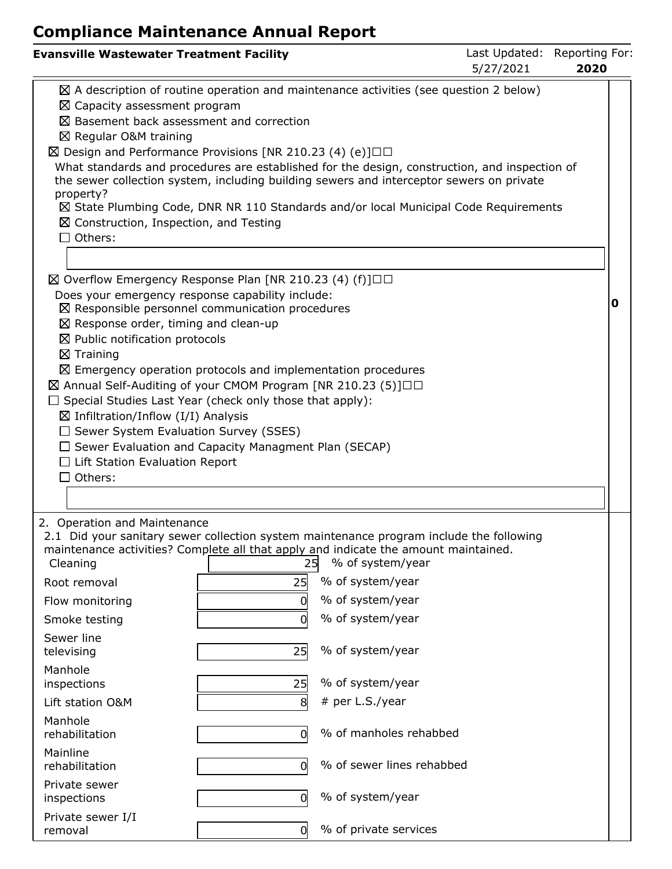| <b>Evansville Wastewater Treatment Facility</b>                                                                                                                                                                                                                                                                                                                                                                                                                                                                                                                                                                                                                                                                                                              |                    |                                                                                                                                                                                                                                                                                                                                                                                       | Last Updated:<br>5/27/2021 | Reporting For:<br>2020 |  |
|--------------------------------------------------------------------------------------------------------------------------------------------------------------------------------------------------------------------------------------------------------------------------------------------------------------------------------------------------------------------------------------------------------------------------------------------------------------------------------------------------------------------------------------------------------------------------------------------------------------------------------------------------------------------------------------------------------------------------------------------------------------|--------------------|---------------------------------------------------------------------------------------------------------------------------------------------------------------------------------------------------------------------------------------------------------------------------------------------------------------------------------------------------------------------------------------|----------------------------|------------------------|--|
| $\boxtimes$ Capacity assessment program<br>$\boxtimes$ Basement back assessment and correction<br>⊠ Regular O&M training<br>$\boxtimes$ Design and Performance Provisions [NR 210.23 (4) (e)] $\Box$<br>property?<br>$\boxtimes$ Construction, Inspection, and Testing<br>$\Box$ Others:                                                                                                                                                                                                                                                                                                                                                                                                                                                                     |                    | $\boxtimes$ A description of routine operation and maintenance activities (see question 2 below)<br>What standards and procedures are established for the design, construction, and inspection of<br>the sewer collection system, including building sewers and interceptor sewers on private<br>⊠ State Plumbing Code, DNR NR 110 Standards and/or local Municipal Code Requirements |                            |                        |  |
| $\boxtimes$ Overflow Emergency Response Plan [NR 210.23 (4) (f)] $\Box$<br>Does your emergency response capability include:<br>$\boxtimes$ Responsible personnel communication procedures<br>$\boxtimes$ Response order, timing and clean-up<br>$\boxtimes$ Public notification protocols<br>$\boxtimes$ Training<br>$\boxtimes$ Emergency operation protocols and implementation procedures<br>⊠ Annual Self-Auditing of your CMOM Program [NR 210.23 (5)]□□<br>$\Box$ Special Studies Last Year (check only those that apply):<br>$\boxtimes$ Infiltration/Inflow (I/I) Analysis<br>$\Box$ Sewer System Evaluation Survey (SSES)<br>$\Box$ Sewer Evaluation and Capacity Managment Plan (SECAP)<br>$\Box$ Lift Station Evaluation Report<br>$\Box$ Others: |                    |                                                                                                                                                                                                                                                                                                                                                                                       |                            | 0                      |  |
|                                                                                                                                                                                                                                                                                                                                                                                                                                                                                                                                                                                                                                                                                                                                                              |                    |                                                                                                                                                                                                                                                                                                                                                                                       |                            |                        |  |
| 2. Operation and Maintenance<br>2.1 Did your sanitary sewer collection system maintenance program include the following<br>maintenance activities? Complete all that apply and indicate the amount maintained.<br>Cleaning<br>Root removal<br>Flow monitoring<br>Smoke testing                                                                                                                                                                                                                                                                                                                                                                                                                                                                               | 25<br>25<br>0<br>0 | % of system/year<br>% of system/year<br>% of system/year<br>% of system/year                                                                                                                                                                                                                                                                                                          |                            |                        |  |
| Sewer line<br>televising<br>Manhole<br>inspections                                                                                                                                                                                                                                                                                                                                                                                                                                                                                                                                                                                                                                                                                                           | 25<br>25           | % of system/year<br>% of system/year                                                                                                                                                                                                                                                                                                                                                  |                            |                        |  |
| Lift station O&M                                                                                                                                                                                                                                                                                                                                                                                                                                                                                                                                                                                                                                                                                                                                             | 8                  | # per L.S./year                                                                                                                                                                                                                                                                                                                                                                       |                            |                        |  |
| Manhole<br>rehabilitation                                                                                                                                                                                                                                                                                                                                                                                                                                                                                                                                                                                                                                                                                                                                    | 0                  | % of manholes rehabbed                                                                                                                                                                                                                                                                                                                                                                |                            |                        |  |
| Mainline<br>rehabilitation                                                                                                                                                                                                                                                                                                                                                                                                                                                                                                                                                                                                                                                                                                                                   | O                  | % of sewer lines rehabbed                                                                                                                                                                                                                                                                                                                                                             |                            |                        |  |
| Private sewer<br>inspections                                                                                                                                                                                                                                                                                                                                                                                                                                                                                                                                                                                                                                                                                                                                 | 0                  | % of system/year                                                                                                                                                                                                                                                                                                                                                                      |                            |                        |  |
| Private sewer I/I<br>removal                                                                                                                                                                                                                                                                                                                                                                                                                                                                                                                                                                                                                                                                                                                                 | 0                  | % of private services                                                                                                                                                                                                                                                                                                                                                                 |                            |                        |  |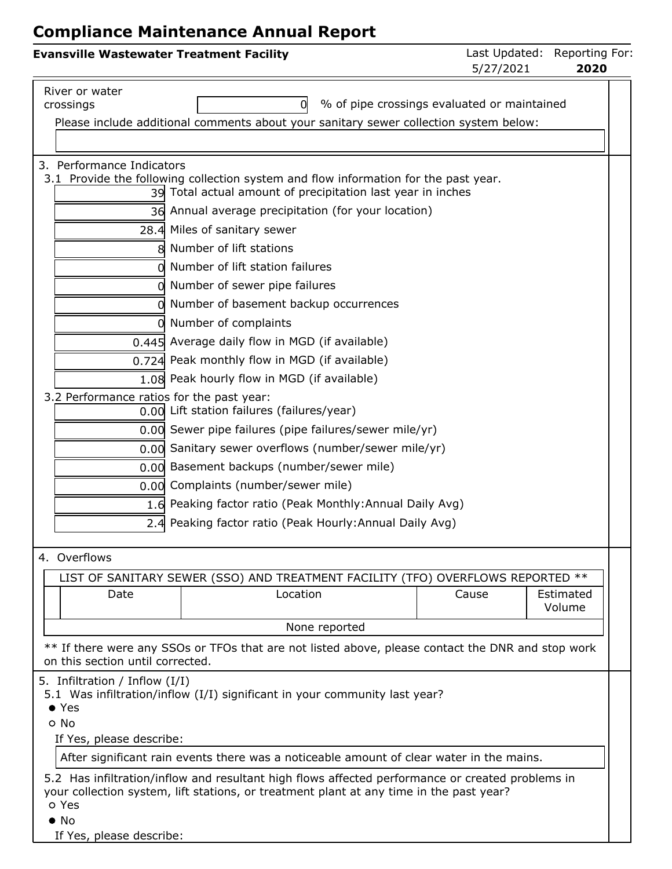| <b>Evansville Wastewater Treatment Facility</b> |                                                                                                                                                                                             | Last Updated: Reporting For:<br>5/27/2021 | 2020                |
|-------------------------------------------------|---------------------------------------------------------------------------------------------------------------------------------------------------------------------------------------------|-------------------------------------------|---------------------|
| River or water                                  |                                                                                                                                                                                             |                                           |                     |
| crossings                                       | % of pipe crossings evaluated or maintained<br>0                                                                                                                                            |                                           |                     |
|                                                 | Please include additional comments about your sanitary sewer collection system below:                                                                                                       |                                           |                     |
| 3. Performance Indicators                       |                                                                                                                                                                                             |                                           |                     |
|                                                 | 3.1 Provide the following collection system and flow information for the past year.<br>39 Total actual amount of precipitation last year in inches                                          |                                           |                     |
|                                                 | 36 Annual average precipitation (for your location)                                                                                                                                         |                                           |                     |
|                                                 | 28.4 Miles of sanitary sewer                                                                                                                                                                |                                           |                     |
|                                                 | 8 Number of lift stations                                                                                                                                                                   |                                           |                     |
|                                                 | o Number of lift station failures                                                                                                                                                           |                                           |                     |
|                                                 | 0 Number of sewer pipe failures                                                                                                                                                             |                                           |                     |
|                                                 | 0 Number of basement backup occurrences                                                                                                                                                     |                                           |                     |
|                                                 | 0 Number of complaints                                                                                                                                                                      |                                           |                     |
|                                                 | 0.445 Average daily flow in MGD (if available)                                                                                                                                              |                                           |                     |
|                                                 | 0.724 Peak monthly flow in MGD (if available)                                                                                                                                               |                                           |                     |
|                                                 | 1.08 Peak hourly flow in MGD (if available)                                                                                                                                                 |                                           |                     |
| 3.2 Performance ratios for the past year:       |                                                                                                                                                                                             |                                           |                     |
|                                                 | 0.00 Lift station failures (failures/year)                                                                                                                                                  |                                           |                     |
|                                                 | 0.00 Sewer pipe failures (pipe failures/sewer mile/yr)                                                                                                                                      |                                           |                     |
|                                                 | 0.00 Sanitary sewer overflows (number/sewer mile/yr)                                                                                                                                        |                                           |                     |
|                                                 | 0.00 Basement backups (number/sewer mile)                                                                                                                                                   |                                           |                     |
|                                                 | 0.00 Complaints (number/sewer mile)                                                                                                                                                         |                                           |                     |
|                                                 | 1.6 Peaking factor ratio (Peak Monthly: Annual Daily Avg)                                                                                                                                   |                                           |                     |
|                                                 | 2.4 Peaking factor ratio (Peak Hourly: Annual Daily Avg)                                                                                                                                    |                                           |                     |
| 4. Overflows                                    |                                                                                                                                                                                             |                                           |                     |
|                                                 | LIST OF SANITARY SEWER (SSO) AND TREATMENT FACILITY (TFO) OVERFLOWS REPORTED **                                                                                                             |                                           |                     |
| Date                                            | Location                                                                                                                                                                                    | Cause                                     | Estimated<br>Volume |
|                                                 | None reported                                                                                                                                                                               |                                           |                     |
|                                                 |                                                                                                                                                                                             |                                           |                     |
| on this section until corrected.                | ** If there were any SSOs or TFOs that are not listed above, please contact the DNR and stop work                                                                                           |                                           |                     |
| 5. Infiltration / Inflow (I/I)                  |                                                                                                                                                                                             |                                           |                     |
| $\bullet$ Yes                                   | 5.1 Was infiltration/inflow (I/I) significant in your community last year?                                                                                                                  |                                           |                     |
| o No                                            |                                                                                                                                                                                             |                                           |                     |
| If Yes, please describe:                        |                                                                                                                                                                                             |                                           |                     |
|                                                 | After significant rain events there was a noticeable amount of clear water in the mains.                                                                                                    |                                           |                     |
| o Yes                                           | 5.2 Has infiltration/inflow and resultant high flows affected performance or created problems in<br>your collection system, lift stations, or treatment plant at any time in the past year? |                                           |                     |
| $\bullet$ No                                    |                                                                                                                                                                                             |                                           |                     |

If Yes, please describe: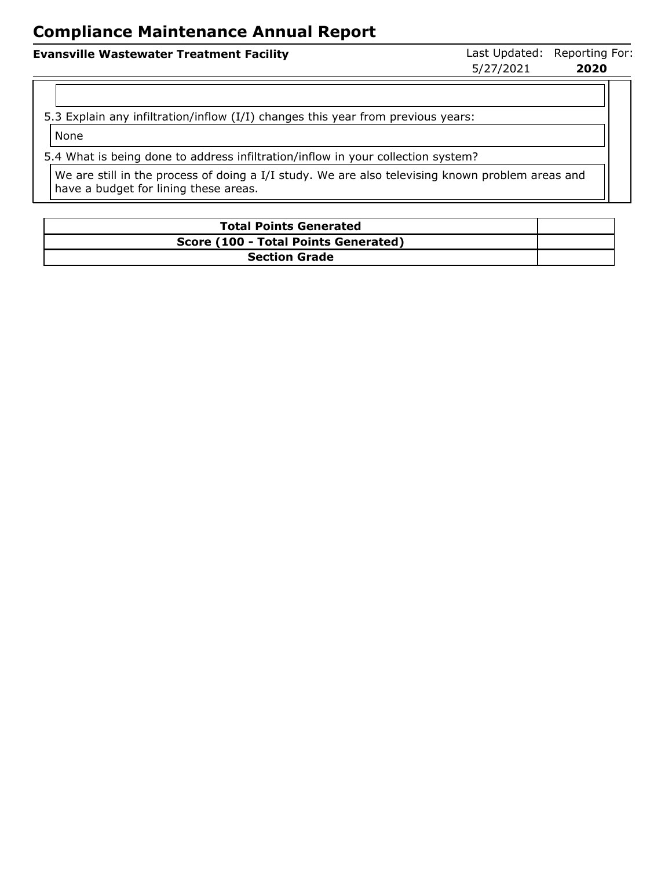#### **Evansville Wastewater Treatment Facility Last Updated: Reporting For: Evansville Wastewater Treatment Facility**

5/27/2021 **2020**

5.3 Explain any infiltration/inflow (I/I) changes this year from previous years:

None

5.4 What is being done to address infiltration/inflow in your collection system?

We are still in the process of doing a I/I study. We are also televising known problem areas and have a budget for lining these areas.

| <b>Total Points Generated</b>        |  |
|--------------------------------------|--|
| Score (100 - Total Points Generated) |  |
| <b>Section Grade</b>                 |  |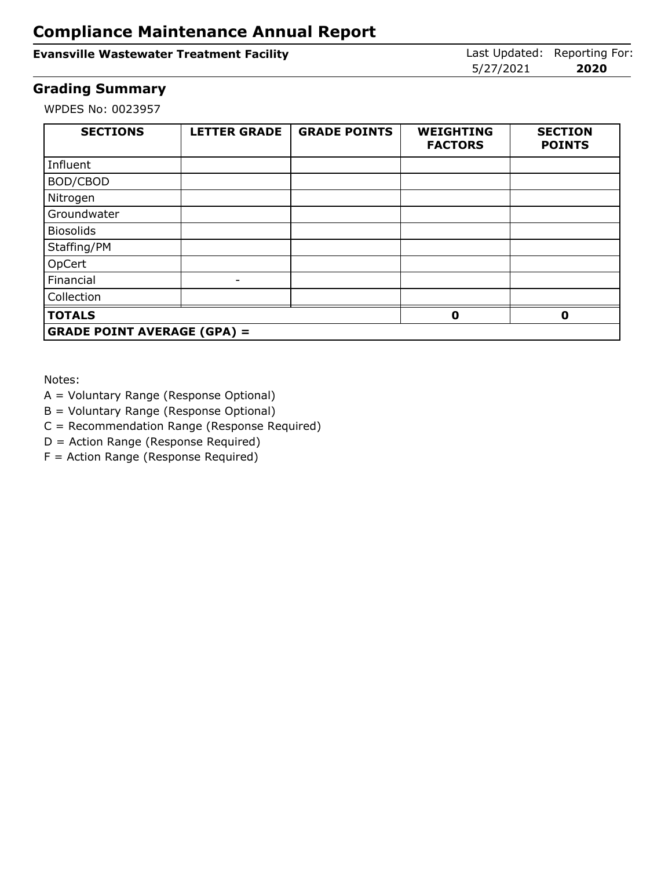#### **Evansville Wastewater Treatment Facility Last Updated: Reporting For: Evansville Wastewater Treatment Facility**

5/27/2021 **2020**

#### **Grading Summary**

WPDES No: 0023957

| <b>SECTIONS</b>                    | <b>LETTER GRADE</b> | <b>GRADE POINTS</b> | <b>WEIGHTING</b><br><b>FACTORS</b> | <b>SECTION</b><br><b>POINTS</b> |
|------------------------------------|---------------------|---------------------|------------------------------------|---------------------------------|
| Influent                           |                     |                     |                                    |                                 |
| BOD/CBOD                           |                     |                     |                                    |                                 |
| Nitrogen                           |                     |                     |                                    |                                 |
| Groundwater                        |                     |                     |                                    |                                 |
| <b>Biosolids</b>                   |                     |                     |                                    |                                 |
| Staffing/PM                        |                     |                     |                                    |                                 |
| OpCert                             |                     |                     |                                    |                                 |
| Financial                          | -                   |                     |                                    |                                 |
| Collection                         |                     |                     |                                    |                                 |
| <b>TOTALS</b>                      |                     |                     | Ω                                  | 0                               |
| <b>GRADE POINT AVERAGE (GPA) =</b> |                     |                     |                                    |                                 |

Notes:

- A = Voluntary Range (Response Optional)
- B = Voluntary Range (Response Optional)

C = Recommendation Range (Response Required)

D = Action Range (Response Required)

F = Action Range (Response Required)